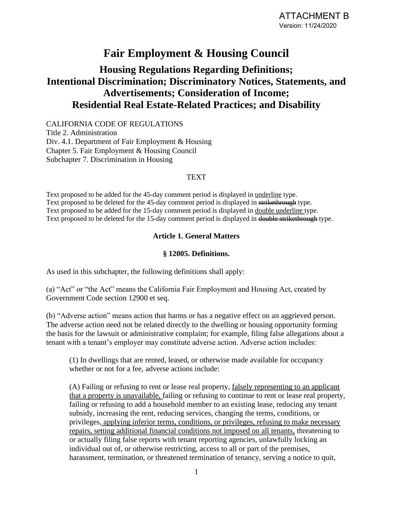# **Fair Employment & Housing Council**

# **Housing Regulations Regarding Definitions; Intentional Discrimination; Discriminatory Notices, Statements, and Advertisements; Consideration of Income; Residential Real Estate-Related Practices; and Disability**

CALIFORNIA CODE OF REGULATIONS Title 2. Administration Div. 4.1. Department of Fair Employment & Housing Chapter 5. Fair Employment & Housing Council Subchapter 7. Discrimination in Housing

### TEXT

Text proposed to be added for the 45-day comment period is displayed in underline type. Text proposed to be deleted for the 45-day comment period is displayed in strikethrough type. Text proposed to be added for the 15-day comment period is displayed in double underline type. Text proposed to be deleted for the 15-day comment period is displayed in double strikethrough type.

### **Article 1. General Matters**

### **§ 12005. Definitions.**

As used in this subchapter, the following definitions shall apply:

(a) "Act" or "the Act" means the California Fair Employment and Housing Act, created by Government Code section 12900 et seq.

(b) "Adverse action" means action that harms or has a negative effect on an aggrieved person. The adverse action need not be related directly to the dwelling or housing opportunity forming the basis for the lawsuit or administrative complaint; for example, filing false allegations about a tenant with a tenant's employer may constitute adverse action. Adverse action includes:

(1) In dwellings that are rented, leased, or otherwise made available for occupancy whether or not for a fee, adverse actions include:

(A) Failing or refusing to rent or lease real property, falsely representing to an applicant that a property is unavailable, failing or refusing to continue to rent or lease real property, failing or refusing to add a household member to an existing lease, reducing any tenant subsidy, increasing the rent, reducing services, changing the terms, conditions, or privileges, applying inferior terms, conditions, or privileges, refusing to make necessary repairs, setting additional financial conditions not imposed on all tenants, threatening to or actually filing false reports with tenant reporting agencies, unlawfully locking an individual out of, or otherwise restricting, access to all or part of the premises, harassment, termination, or threatened termination of tenancy, serving a notice to quit,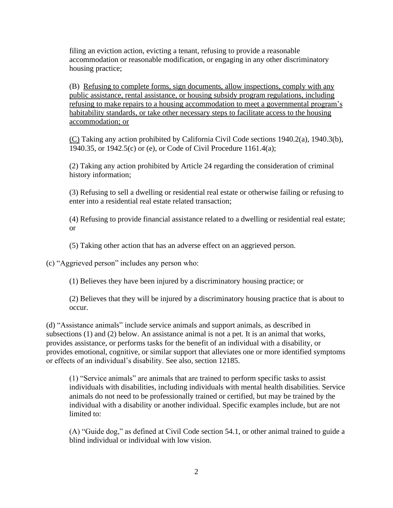filing an eviction action, evicting a tenant, refusing to provide a reasonable accommodation or reasonable modification, or engaging in any other discriminatory housing practice;

(B) Refusing to complete forms, sign documents, allow inspections, comply with any public assistance, rental assistance, or housing subsidy program regulations, including refusing to make repairs to a housing accommodation to meet a governmental program's habitability standards, or take other necessary steps to facilitate access to the housing accommodation; or

(C) Taking any action prohibited by California Civil Code sections 1940.2(a), 1940.3(b), 1940.35, or 1942.5(c) or (e), or Code of Civil Procedure 1161.4(a);

(2) Taking any action prohibited by Article 24 regarding the consideration of criminal history information;

(3) Refusing to sell a dwelling or residential real estate or otherwise failing or refusing to enter into a residential real estate related transaction;

(4) Refusing to provide financial assistance related to a dwelling or residential real estate; or

(5) Taking other action that has an adverse effect on an aggrieved person.

(c) "Aggrieved person" includes any person who:

(1) Believes they have been injured by a discriminatory housing practice; or

(2) Believes that they will be injured by a discriminatory housing practice that is about to occur.

(d) "Assistance animals" include service animals and support animals, as described in subsections (1) and (2) below. An assistance animal is not a pet. It is an animal that works, provides assistance, or performs tasks for the benefit of an individual with a disability, or provides emotional, cognitive, or similar support that alleviates one or more identified symptoms or effects of an individual's disability. See also, section 12185.

(1) "Service animals" are animals that are trained to perform specific tasks to assist individuals with disabilities, including individuals with mental health disabilities. Service animals do not need to be professionally trained or certified, but may be trained by the individual with a disability or another individual. Specific examples include, but are not limited to:

(A) "Guide dog," as defined at Civil Code section 54.1, or other animal trained to guide a blind individual or individual with low vision.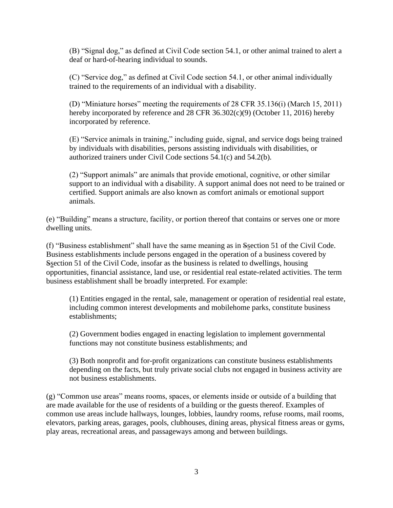(B) "Signal dog," as defined at Civil Code section 54.1, or other animal trained to alert a deaf or hard-of-hearing individual to sounds.

(C) "Service dog," as defined at Civil Code section 54.1, or other animal individually trained to the requirements of an individual with a disability.

(D) "Miniature horses" meeting the requirements of 28 CFR 35.136(i) (March 15, 2011) hereby incorporated by reference and 28 CFR 36.302(c)(9) (October 11, 2016) hereby incorporated by reference.

(E) "Service animals in training," including guide, signal, and service dogs being trained by individuals with disabilities, persons assisting individuals with disabilities, or authorized trainers under Civil Code sections 54.1(c) and 54.2(b).

(2) "Support animals" are animals that provide emotional, cognitive, or other similar support to an individual with a disability. A support animal does not need to be trained or certified. Support animals are also known as comfort animals or emotional support animals.

(e) "Building" means a structure, facility, or portion thereof that contains or serves one or more dwelling units.

(f) "Business establishment" shall have the same meaning as in Ssection 51 of the Civil Code. Business establishments include persons engaged in the operation of a business covered by Ssection 51 of the Civil Code, insofar as the business is related to dwellings, housing opportunities, financial assistance, land use, or residential real estate-related activities. The term business establishment shall be broadly interpreted. For example:

(1) Entities engaged in the rental, sale, management or operation of residential real estate, including common interest developments and mobilehome parks, constitute business establishments;

(2) Government bodies engaged in enacting legislation to implement governmental functions may not constitute business establishments; and

(3) Both nonprofit and for-profit organizations can constitute business establishments depending on the facts, but truly private social clubs not engaged in business activity are not business establishments.

(g) "Common use areas" means rooms, spaces, or elements inside or outside of a building that are made available for the use of residents of a building or the guests thereof. Examples of common use areas include hallways, lounges, lobbies, laundry rooms, refuse rooms, mail rooms, elevators, parking areas, garages, pools, clubhouses, dining areas, physical fitness areas or gyms, play areas, recreational areas, and passageways among and between buildings.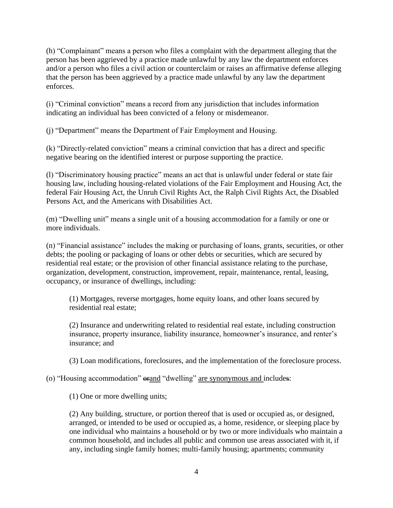(h) "Complainant" means a person who files a complaint with the department alleging that the person has been aggrieved by a practice made unlawful by any law the department enforces and/or a person who files a civil action or counterclaim or raises an affirmative defense alleging that the person has been aggrieved by a practice made unlawful by any law the department enforces.

(i) "Criminal conviction" means a record from any jurisdiction that includes information indicating an individual has been convicted of a felony or misdemeanor.

(j) "Department" means the Department of Fair Employment and Housing.

(k) "Directly-related conviction" means a criminal conviction that has a direct and specific negative bearing on the identified interest or purpose supporting the practice.

(l) "Discriminatory housing practice" means an act that is unlawful under federal or state fair housing law, including housing-related violations of the Fair Employment and Housing Act, the federal Fair Housing Act, the Unruh Civil Rights Act, the Ralph Civil Rights Act, the Disabled Persons Act, and the Americans with Disabilities Act.

(m) "Dwelling unit" means a single unit of a housing accommodation for a family or one or more individuals.

(n) "Financial assistance" includes the making or purchasing of loans, grants, securities, or other debts; the pooling or packaging of loans or other debts or securities, which are secured by residential real estate; or the provision of other financial assistance relating to the purchase, organization, development, construction, improvement, repair, maintenance, rental, leasing, occupancy, or insurance of dwellings, including:

(1) Mortgages, reverse mortgages, home equity loans, and other loans secured by residential real estate;

(2) Insurance and underwriting related to residential real estate, including construction insurance, property insurance, liability insurance, homeowner's insurance, and renter's insurance; and

(3) Loan modifications, foreclosures, and the implementation of the foreclosure process.

(o) "Housing accommodation"  $\theta$  and "dwelling" are synonymous and includes:

(1) One or more dwelling units;

(2) Any building, structure, or portion thereof that is used or occupied as, or designed, arranged, or intended to be used or occupied as, a home, residence, or sleeping place by one individual who maintains a household or by two or more individuals who maintain a common household, and includes all public and common use areas associated with it, if any, including single family homes; multi-family housing; apartments; community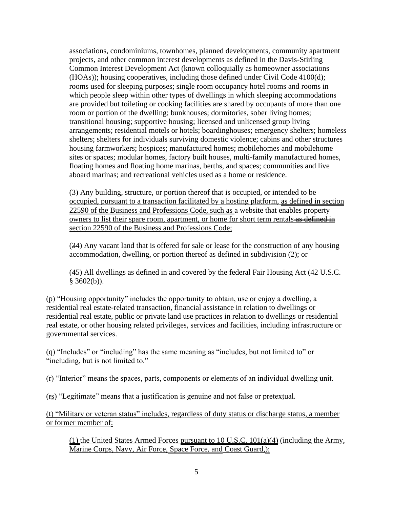associations, condominiums, townhomes, planned developments, community apartment projects, and other common interest developments as defined in the Davis-Stirling Common Interest Development Act (known colloquially as homeowner associations (HOAs)); housing cooperatives, including those defined under Civil Code 4100(d); rooms used for sleeping purposes; single room occupancy hotel rooms and rooms in which people sleep within other types of dwellings in which sleeping accommodations are provided but toileting or cooking facilities are shared by occupants of more than one room or portion of the dwelling; bunkhouses; dormitories, sober living homes; transitional housing; supportive housing; licensed and unlicensed group living arrangements; residential motels or hotels; boardinghouses; emergency shelters; homeless shelters; shelters for individuals surviving domestic violence; cabins and other structures housing farmworkers; hospices; manufactured homes; mobilehomes and mobilehome sites or spaces; modular homes, factory built houses, multi-family manufactured homes, floating homes and floating home marinas, berths, and spaces; communities and live aboard marinas; and recreational vehicles used as a home or residence.

(3) Any building, structure, or portion thereof that is occupied, or intended to be occupied, pursuant to a transaction facilitated by a hosting platform, as defined in section 22590 of the Business and Professions Code, such as a website that enables property owners to list their spare room, apartment, or home for short term rentals as defined in section 22590 of the Business and Professions Code;

(34) Any vacant land that is offered for sale or lease for the construction of any housing accommodation, dwelling, or portion thereof as defined in subdivision (2); or

(45) All dwellings as defined in and covered by the federal Fair Housing Act (42 U.S.C.  $§$  3602(b)).

(p) "Housing opportunity" includes the opportunity to obtain, use or enjoy a dwelling, a residential real estate-related transaction, financial assistance in relation to dwellings or residential real estate, public or private land use practices in relation to dwellings or residential real estate, or other housing related privileges, services and facilities, including infrastructure or governmental services.

(q) "Includes" or "including" has the same meaning as "includes, but not limited to" or "including, but is not limited to."

(r) "Interior" means the spaces, parts, components or elements of an individual dwelling unit.

(rs) "Legitimate" means that a justification is genuine and not false or pretextual.

(t) "Military or veteran status" includes, regardless of duty status or discharge status, a member or former member of:

(1) the United States Armed Forces pursuant to 10 U.S.C. 101(a)(4) (including the Army, Marine Corps, Navy, Air Force, Space Force, and Coast Guard,);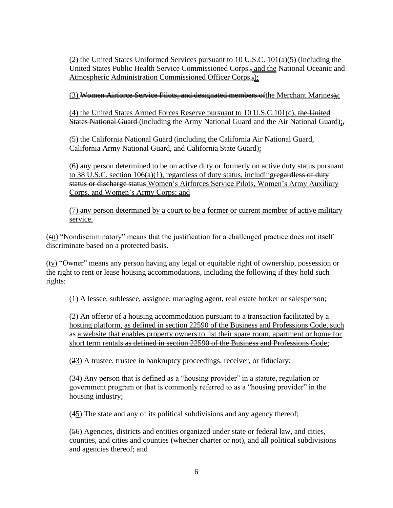(2) the United States Uniformed Services pursuant to 10 U.S.C. 101(a)(5) (including the United States Public Health Service Commissioned Corps.<sup>5</sup> and the National Oceanic and Atmospheric Administration Commissioned Officer Corps.,...

(3) Women Airforce Service Pilots, and designated members of the Merchant Marines),

(4) the United States Armed Forces Reserve pursuant to 10 U.S.C.101(c), the United States National Guard (including the Army National Guard and the Air National Guard);

(5) the California National Guard (including the California Air National Guard, California Army National Guard, and California State Guard);

(6) any person determined to be on active duty or formerly on active duty status pursuant to 38 U.S.C. section  $106(a)(1)$ , regardless of duty status, including regardless of duty status or discharge status Women's Airforces Service Pilots, Women's Army Auxiliary Corps, and Women's Army Corps; and

(7) any person determined by a court to be a former or current member of active military service.

(su) "Nondiscriminatory" means that the justification for a challenged practice does not itself discriminate based on a protected basis.

(tv) "Owner" means any person having any legal or equitable right of ownership, possession or the right to rent or lease housing accommodations, including the following if they hold such rights:

(1) A lessee, sublessee, assignee, managing agent, real estate broker or salesperson;

(2) An offeror of a housing accommodation pursuant to a transaction facilitated by a hosting platform, as defined in section 22590 of the Business and Professions Code, such as a website that enables property owners to list their spare room, apartment or home for short term rentals as defined in section 22590 of the Business and Professions Code;

(23) A trustee, trustee in bankruptcy proceedings, receiver, or fiduciary;

(34) Any person that is defined as a "housing provider" in a statute, regulation or government program or that is commonly referred to as a "housing provider" in the housing industry;

(45) The state and any of its political subdivisions and any agency thereof;

(56) Agencies, districts and entities organized under state or federal law, and cities, counties, and cities and counties (whether charter or not), and all political subdivisions and agencies thereof; and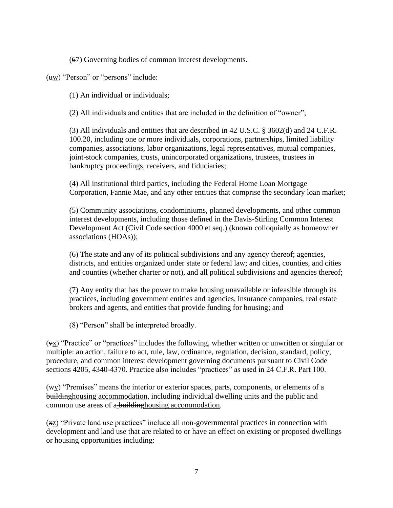(67) Governing bodies of common interest developments.

(uw) "Person" or "persons" include:

(1) An individual or individuals;

(2) All individuals and entities that are included in the definition of "owner";

(3) All individuals and entities that are described in 42 U.S.C. § 3602(d) and 24 C.F.R. 100.20, including one or more individuals, corporations, partnerships, limited liability companies, associations, labor organizations, legal representatives, mutual companies, joint-stock companies, trusts, unincorporated organizations, trustees, trustees in bankruptcy proceedings, receivers, and fiduciaries;

(4) All institutional third parties, including the Federal Home Loan Mortgage Corporation, Fannie Mae, and any other entities that comprise the secondary loan market;

(5) Community associations, condominiums, planned developments, and other common interest developments, including those defined in the Davis-Stirling Common Interest Development Act (Civil Code section 4000 et seq.) (known colloquially as homeowner associations (HOAs));

(6) The state and any of its political subdivisions and any agency thereof; agencies, districts, and entities organized under state or federal law; and cities, counties, and cities and counties (whether charter or not), and all political subdivisions and agencies thereof;

(7) Any entity that has the power to make housing unavailable or infeasible through its practices, including government entities and agencies, insurance companies, real estate brokers and agents, and entities that provide funding for housing; and

(8) "Person" shall be interpreted broadly.

(vx) "Practice" or "practices" includes the following, whether written or unwritten or singular or multiple: an action, failure to act, rule, law, ordinance, regulation, decision, standard, policy, procedure, and common interest development governing documents pursuant to Civil Code sections 4205, 4340-4370. Practice also includes "practices" as used in 24 C.F.R. Part 100.

(wy) "Premises" means the interior or exterior spaces, parts, components, or elements of a buildinghousing accommodation, including individual dwelling units and the public and common use areas of a-building housing accommodation.

(xz) "Private land use practices" include all non-governmental practices in connection with development and land use that are related to or have an effect on existing or proposed dwellings or housing opportunities including: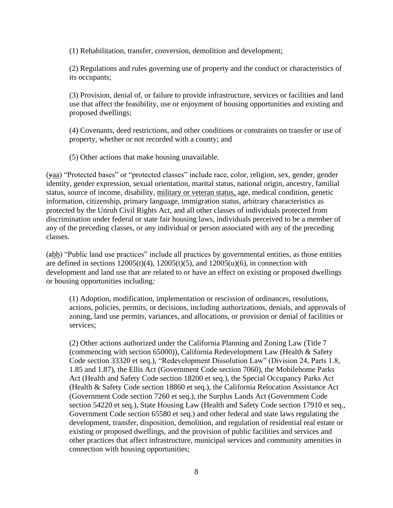(1) Rehabilitation, transfer, conversion, demolition and development;

(2) Regulations and rules governing use of property and the conduct or characteristics of its occupants;

(3) Provision, denial of, or failure to provide infrastructure, services or facilities and land use that affect the feasibility, use or enjoyment of housing opportunities and existing and proposed dwellings;

(4) Covenants, deed restrictions, and other conditions or constraints on transfer or use of property, whether or not recorded with a county; and

(5) Other actions that make housing unavailable.

(yaa) "Protected bases" or "protected classes" include race, color, religion, sex, gender, gender identity, gender expression, sexual orientation, marital status, national origin, ancestry, familial status, source of income, disability, military or veteran status, age, medical condition, genetic information, citizenship, primary language, immigration status, arbitrary characteristics as protected by the Unruh Civil Rights Act, and all other classes of individuals protected from discrimination under federal or state fair housing laws, individuals perceived to be a member of any of the preceding classes, or any individual or person associated with any of the preceding classes.

(zbb) "Public land use practices" include all practices by governmental entities, as those entities are defined in sections  $12005(t)(4)$ ,  $12005(t)(5)$ , and  $12005(u)(6)$ , in connection with development and land use that are related to or have an effect on existing or proposed dwellings or housing opportunities including*:*

(1) Adoption, modification, implementation or rescission of ordinances, resolutions, actions, policies, permits, or decisions, including authorizations, denials, and approvals of zoning, land use permits, variances, and allocations, or provision or denial of facilities or services;

(2) Other actions authorized under the California Planning and Zoning Law (Title 7 (commencing with section 65000)), California Redevelopment Law (Health & Safety Code section 33320 et seq.), "Redevelopment Dissolution Law" (Division 24, Parts 1.8, 1.85 and 1.87), the Ellis Act (Government Code section 7060), the Mobilehome Parks Act (Health and Safety Code section 18200 et seq.), the Special Occupancy Parks Act (Health & Safety Code section 18860 et seq.), the California Relocation Assistance Act (Government Code section 7260 et seq.), the Surplus Lands Act (Government Code section 54220 et seq.), State Housing Law (Health and Safety Code section 17910 et seq., Government Code section 65580 et seq.) and other federal and state laws regulating the development, transfer, disposition, demolition, and regulation of residential real estate or existing or proposed dwellings, and the provision of public facilities and services and other practices that affect infrastructure, municipal services and community amenities in connection with housing opportunities;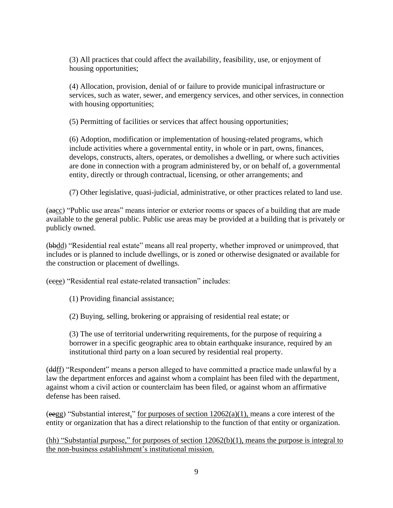(3) All practices that could affect the availability, feasibility, use, or enjoyment of housing opportunities;

(4) Allocation, provision, denial of or failure to provide municipal infrastructure or services, such as water, sewer, and emergency services, and other services, in connection with housing opportunities;

(5) Permitting of facilities or services that affect housing opportunities;

(6) Adoption, modification or implementation of housing-related programs, which include activities where a governmental entity, in whole or in part, owns, finances, develops, constructs, alters, operates, or demolishes a dwelling, or where such activities are done in connection with a program administered by, or on behalf of, a governmental entity, directly or through contractual, licensing, or other arrangements; and

(7) Other legislative, quasi-judicial, administrative, or other practices related to land use.

(aacc) "Public use areas" means interior or exterior rooms or spaces of a building that are made available to the general public. Public use areas may be provided at a building that is privately or publicly owned.

(bbdd) "Residential real estate" means all real property, whether improved or unimproved, that includes or is planned to include dwellings, or is zoned or otherwise designated or available for the construction or placement of dwellings.

(ccee) "Residential real estate-related transaction" includes:

(1) Providing financial assistance;

(2) Buying, selling, brokering or appraising of residential real estate; or

(3) The use of territorial underwriting requirements, for the purpose of requiring a borrower in a specific geographic area to obtain earthquake insurance, required by an institutional third party on a loan secured by residential real property.

(ddff) "Respondent" means a person alleged to have committed a practice made unlawful by a law the department enforces and against whom a complaint has been filed with the department, against whom a civil action or counterclaim has been filed, or against whom an affirmative defense has been raised.

(eegg) "Substantial interest," for purposes of section  $12062(a)(1)$ , means a core interest of the entity or organization that has a direct relationship to the function of that entity or organization.

(hh) "Substantial purpose," for purposes of section 12062(b)(1), means the purpose is integral to the non-business establishment's institutional mission.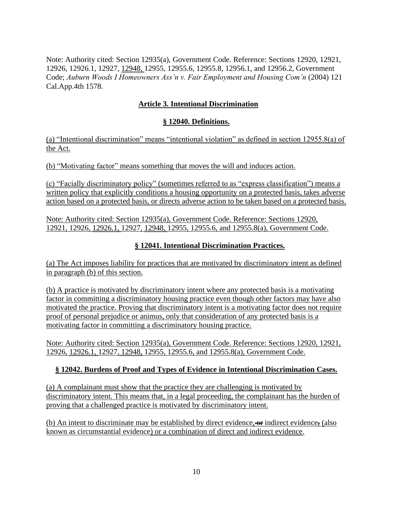Note: Authority cited: Section 12935(a), Government Code. Reference: Sections 12920, 12921, 12926, 12926.1, 12927, 12948, 12955, 12955.6, 12955.8, 12956.1, and 12956.2, Government Code; *Auburn Woods I Homeowners Ass'n v. Fair Employment and Housing Com'n* (2004) 121 Cal.App.4th 1578.

# **Article 3. Intentional Discrimination**

### **§ 12040. Definitions.**

(a) "Intentional discrimination" means "intentional violation" as defined in section 12955.8(a) of the Act.

(b) "Motivating factor" means something that moves the will and induces action.

(c) "Facially discriminatory policy" (sometimes referred to as "express classification") means a written policy that explicitly conditions a housing opportunity on a protected basis, takes adverse action based on a protected basis, or directs adverse action to be taken based on a protected basis.

Note: Authority cited: Section 12935(a), Government Code. Reference: Sections 12920, 12921, 12926, 12926.1, 12927, 12948, 12955, 12955.6, and 12955.8(a), Government Code.

## **§ 12041. Intentional Discrimination Practices.**

(a) The Act imposes liability for practices that are motivated by discriminatory intent as defined in paragraph (b) of this section.

(b) A practice is motivated by discriminatory intent where any protected basis is a motivating factor in committing a discriminatory housing practice even though other factors may have also motivated the practice. Proving that discriminatory intent is a motivating factor does not require proof of personal prejudice or animus, only that consideration of any protected basis is a motivating factor in committing a discriminatory housing practice.

Note: Authority cited: Section 12935(a), Government Code. Reference: Sections 12920, 12921, 12926, 12926.1, 12927, 12948, 12955, 12955.6, and 12955.8(a), Government Code.

## **§ 12042. Burdens of Proof and Types of Evidence in Intentional Discrimination Cases.**

(a) A complainant must show that the practice they are challenging is motivated by discriminatory intent. This means that, in a legal proceeding, the complainant has the burden of proving that a challenged practice is motivated by discriminatory intent.

(b) An intent to discriminate may be established by direct evidence,  $\Theta$  indirect evidence, (also known as circumstantial evidence) or a combination of direct and indirect evidence.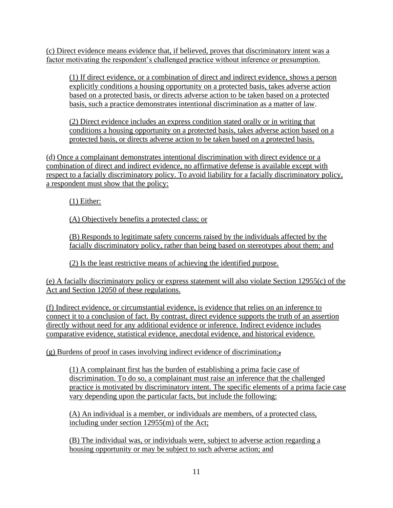(c) Direct evidence means evidence that, if believed, proves that discriminatory intent was a factor motivating the respondent's challenged practice without inference or presumption.

(1) If direct evidence, or a combination of direct and indirect evidence, shows a person explicitly conditions a housing opportunity on a protected basis, takes adverse action based on a protected basis, or directs adverse action to be taken based on a protected basis, such a practice demonstrates intentional discrimination as a matter of law.

(2) Direct evidence includes an express condition stated orally or in writing that conditions a housing opportunity on a protected basis, takes adverse action based on a protected basis, or directs adverse action to be taken based on a protected basis.

(d) Once a complainant demonstrates intentional discrimination with direct evidence or a combination of direct and indirect evidence, no affirmative defense is available except with respect to a facially discriminatory policy. To avoid liability for a facially discriminatory policy, a respondent must show that the policy:

(1) Either:

(A) Objectively benefits a protected class; or

(B) Responds to legitimate safety concerns raised by the individuals affected by the facially discriminatory policy, rather than being based on stereotypes about them; and

(2) Is the least restrictive means of achieving the identified purpose.

(e) A facially discriminatory policy or express statement will also violate Section 12955(c) of the Act and Section 12050 of these regulations.

(f) Indirect evidence, or circumstantial evidence, is evidence that relies on an inference to connect it to a conclusion of fact. By contrast, direct evidence supports the truth of an assertion directly without need for any additional evidence or inference. Indirect evidence includes comparative evidence, statistical evidence, anecdotal evidence, and historical evidence.

(g) Burdens of proof in cases involving indirect evidence of discrimination:,

(1) A complainant first has the burden of establishing a prima facie case of discrimination. To do so, a complainant must raise an inference that the challenged practice is motivated by discriminatory intent. The specific elements of a prima facie case vary depending upon the particular facts, but include the following:

(A) An individual is a member, or individuals are members, of a protected class, including under section 12955(m) of the Act;

(B) The individual was, or individuals were, subject to adverse action regarding a housing opportunity or may be subject to such adverse action; and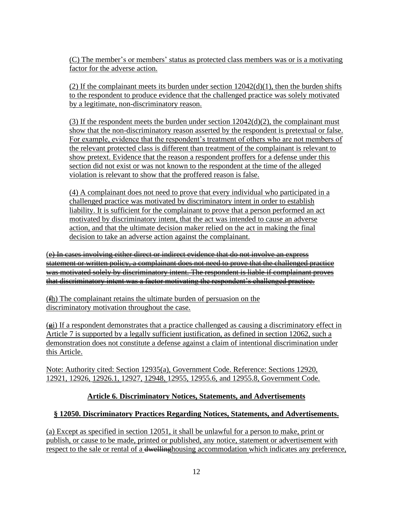(C) The member's or members' status as protected class members was or is a motivating factor for the adverse action.

(2) If the complainant meets its burden under section  $12042(d)(1)$ , then the burden shifts to the respondent to produce evidence that the challenged practice was solely motivated by a legitimate, non-discriminatory reason.

(3) If the respondent meets the burden under section  $12042(d)(2)$ , the complainant must show that the non-discriminatory reason asserted by the respondent is pretextual or false. For example, evidence that the respondent's treatment of others who are not members of the relevant protected class is different than treatment of the complainant is relevant to show pretext. Evidence that the reason a respondent proffers for a defense under this section did not exist or was not known to the respondent at the time of the alleged violation is relevant to show that the proffered reason is false.

(4) A complainant does not need to prove that every individual who participated in a challenged practice was motivated by discriminatory intent in order to establish liability. It is sufficient for the complainant to prove that a person performed an act motivated by discriminatory intent, that the act was intended to cause an adverse action, and that the ultimate decision maker relied on the act in making the final decision to take an adverse action against the complainant.

(e) In cases involving either direct or indirect evidence that do not involve an express statement or written policy, a complainant does not need to prove that the challenged practice was motivated solely by discriminatory intent. The respondent is liable if complainant proves that discriminatory intent was a factor motivating the respondent's challenged practice.

(fh) The complainant retains the ultimate burden of persuasion on the discriminatory motivation throughout the case.

 $(e_i)$  If a respondent demonstrates that a practice challenged as causing a discriminatory effect in Article 7 is supported by a legally sufficient justification, as defined in section 12062, such a demonstration does not constitute a defense against a claim of intentional discrimination under this Article.

Note: Authority cited: Section 12935(a), Government Code. Reference: Sections 12920, 12921, 12926, 12926.1, 12927, 12948, 12955, 12955.6, and 12955.8, Government Code.

## **Article 6. Discriminatory Notices, Statements, and Advertisements**

## **§ 12050. Discriminatory Practices Regarding Notices, Statements, and Advertisements.**

(a) Except as specified in section 12051, it shall be unlawful for a person to make, print or publish, or cause to be made, printed or published, any notice, statement or advertisement with respect to the sale or rental of a dwellinghousing accommodation which indicates any preference,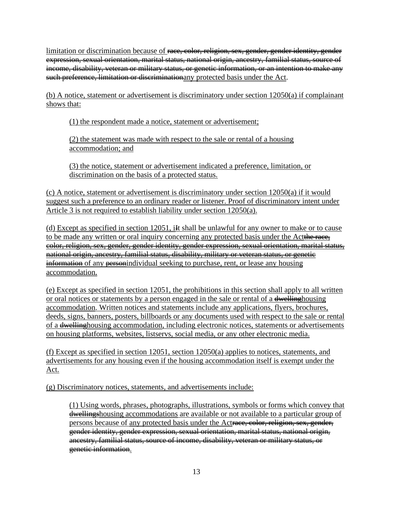limitation or discrimination because of race, color, religion, sex, gender, gender identity, gender expression, sexual orientation, marital status, national origin, ancestry, familial status, source of income, disability, veteran or military status, or genetic information, or an intention to make any such preference, limitation or discriminationany protected basis under the Act.

(b) A notice, statement or advertisement is discriminatory under section 12050(a) if complainant shows that:

(1) the respondent made a notice, statement or advertisement;

(2) the statement was made with respect to the sale or rental of a housing accommodation; and

(3) the notice, statement or advertisement indicated a preference, limitation, or discrimination on the basis of a protected status.

(c) A notice, statement or advertisement is discriminatory under section 12050(a) if it would suggest such a preference to an ordinary reader or listener. Proof of discriminatory intent under Article 3 is not required to establish liability under section 12050(a).

(d) Except as specified in section  $12051$ , if shall be unlawful for any owner to make or to cause to be made any written or oral inquiry concerning any protected basis under the Act color, religion, sex, gender, gender identity, gender expression, sexual orientation, marital status, national origin, ancestry, familial status, disability, military or veteran status, or genetie information of any personindividual seeking to purchase, rent, or lease any housing accommodation.

(e) Except as specified in section 12051, the prohibitions in this section shall apply to all written or oral notices or statements by a person engaged in the sale or rental of a dwelling housing accommodation. Written notices and statements include any applications, flyers, brochures, deeds, signs, banners, posters, billboards or any documents used with respect to the sale or rental of a dwellinghousing accommodation, including electronic notices, statements or advertisements on housing platforms, websites, listservs, social media, or any other electronic media.

(f) Except as specified in section 12051, section 12050(a) applies to notices, statements, and advertisements for any housing even if the housing accommodation itself is exempt under the Act.

(g) Discriminatory notices, statements, and advertisements include:

(1) Using words, phrases, photographs, illustrations, symbols or forms which convey that dwellingshousing accommodations are available or not available to a particular group of persons because of any protected basis under the Actrace, color, religion, sex, gender, gender identity, gender expression, sexual orientation, marital status, national origin, ancestry, familial status, source of income, disability, veteran or military status, or genetic information.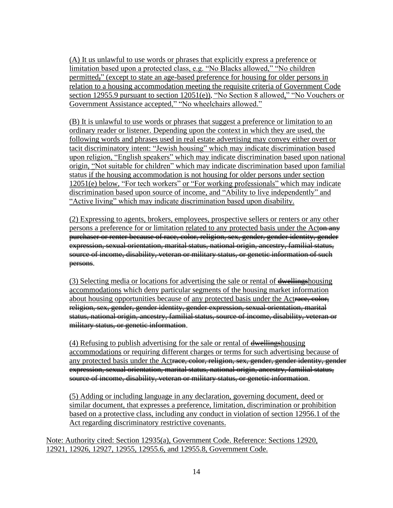(A) It us unlawful to use words or phrases that explicitly express a preference or limitation based upon a protected class, e.g. "No Blacks allowed," "No children permitted," (except to state an age-based preference for housing for older persons in relation to a housing accommodation meeting the requisite criteria of Government Code section 12955.9 pursuant to section 12051(e)), "No Section 8 allowed," "No Vouchers or Government Assistance accepted," "No wheelchairs allowed."

(B) It is unlawful to use words or phrases that suggest a preference or limitation to an ordinary reader or listener. Depending upon the context in which they are used, the following words and phrases used in real estate advertising may convey either overt or tacit discriminatory intent: "Jewish housing" which may indicate discrimination based upon religion, "English speakers" which may indicate discrimination based upon national origin, "Not suitable for children" which may indicate discrimination based upon familial status if the housing accommodation is not housing for older persons under section 12051(e) below, "For tech workers" or "For working professionals" which may indicate discrimination based upon source of income, and "Ability to live independently" and "Active living" which may indicate discrimination based upon disability.

(2) Expressing to agents, brokers, employees, prospective sellers or renters or any other persons a preference for or limitation related to any protected basis under the Actor any purchaser or renter because of race, color, religion, sex, gender, gender identity, gender expression, sexual orientation, marital status, national origin, ancestry, familial status, source of income, disability, veteran or military status, or genetic information of such persons.

(3) Selecting media or locations for advertising the sale or rental of dwellingshousing accommodations which deny particular segments of the housing market information about housing opportunities because of any protected basis under the Actrace, color, religion, sex, gender, gender identity, gender expression, sexual orientation, marital status, national origin, ancestry, familial status, source of income, disability, veteran or military status, or genetic information.

(4) Refusing to publish advertising for the sale or rental of  $\frac{dwelling}{}$  shousing accommodations or requiring different charges or terms for such advertising because of any protected basis under the Actrace, color, religion, sex, gender, gender identity, gender expression, sexual orientation, marital status, national origin, ancestry, familial status, source of income, disability, veteran or military status, or genetic information.

(5) Adding or including language in any declaration, governing document, deed or similar document, that expresses a preference, limitation, discrimination or prohibition based on a protective class, including any conduct in violation of section 12956.1 of the Act regarding discriminatory restrictive covenants.

Note: Authority cited: Section 12935(a), Government Code. Reference: Sections 12920, 12921, 12926, 12927, 12955, 12955.6, and 12955.8, Government Code.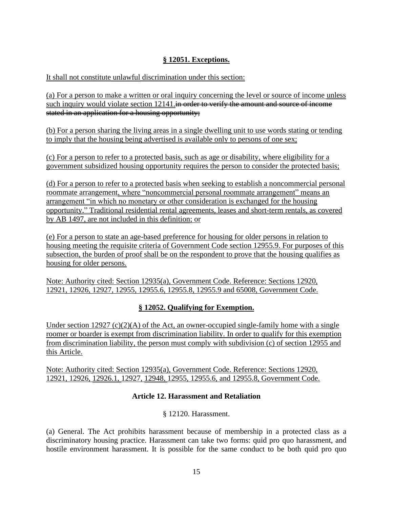## **§ 12051. Exceptions.**

It shall not constitute unlawful discrimination under this section:

(a) For a person to make a written or oral inquiry concerning the level or source of income unless such inquiry would violate section 12141. in order to verify the amount and source of income stated in an application for a housing opportunity;

(b) For a person sharing the living areas in a single dwelling unit to use words stating or tending to imply that the housing being advertised is available only to persons of one sex;

(c) For a person to refer to a protected basis, such as age or disability, where eligibility for a government subsidized housing opportunity requires the person to consider the protected basis;

(d) For a person to refer to a protected basis when seeking to establish a noncommercial personal roommate arrangement, where "noncommercial personal roommate arrangement" means an arrangement "in which no monetary or other consideration is exchanged for the housing opportunity." Traditional residential rental agreements, leases and short-term rentals, as covered by AB 1497, are not included in this definition; or

(e) For a person to state an age-based preference for housing for older persons in relation to housing meeting the requisite criteria of Government Code section 12955.9. For purposes of this subsection, the burden of proof shall be on the respondent to prove that the housing qualifies as housing for older persons.

Note: Authority cited: Section 12935(a), Government Code. Reference: Sections 12920, 12921, 12926, 12927, 12955, 12955.6, 12955.8, 12955.9 and 65008, Government Code.

## **§ 12052. Qualifying for Exemption.**

Under section 12927  $(c)(2)(A)$  of the Act, an owner-occupied single-family home with a single roomer or boarder is exempt from discrimination liability. In order to qualify for this exemption from discrimination liability, the person must comply with subdivision (c) of section 12955 and this Article.

Note: Authority cited: Section 12935(a), Government Code. Reference: Sections 12920, 12921, 12926, 12926.1, 12927, 12948, 12955, 12955.6, and 12955.8, Government Code.

### **Article 12. Harassment and Retaliation**

§ 12120. Harassment.

(a) General. The Act prohibits harassment because of membership in a protected class as a discriminatory housing practice. Harassment can take two forms: quid pro quo harassment, and hostile environment harassment. It is possible for the same conduct to be both quid pro quo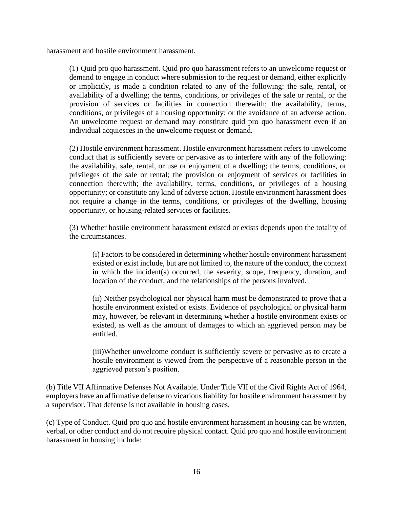harassment and hostile environment harassment.

(1) Quid pro quo harassment. Quid pro quo harassment refers to an unwelcome request or demand to engage in conduct where submission to the request or demand, either explicitly or implicitly, is made a condition related to any of the following: the sale, rental, or availability of a dwelling; the terms, conditions, or privileges of the sale or rental, or the provision of services or facilities in connection therewith; the availability, terms, conditions, or privileges of a housing opportunity; or the avoidance of an adverse action. An unwelcome request or demand may constitute quid pro quo harassment even if an individual acquiesces in the unwelcome request or demand.

(2) Hostile environment harassment. Hostile environment harassment refers to unwelcome conduct that is sufficiently severe or pervasive as to interfere with any of the following: the availability, sale, rental, or use or enjoyment of a dwelling; the terms, conditions, or privileges of the sale or rental; the provision or enjoyment of services or facilities in connection therewith; the availability, terms, conditions, or privileges of a housing opportunity; or constitute any kind of adverse action. Hostile environment harassment does not require a change in the terms, conditions, or privileges of the dwelling, housing opportunity, or housing-related services or facilities.

(3) Whether hostile environment harassment existed or exists depends upon the totality of the circumstances.

(i) Factors to be considered in determining whether hostile environment harassment existed or exist include, but are not limited to, the nature of the conduct, the context in which the incident(s) occurred, the severity, scope, frequency, duration, and location of the conduct, and the relationships of the persons involved.

(ii) Neither psychological nor physical harm must be demonstrated to prove that a hostile environment existed or exists. Evidence of psychological or physical harm may, however, be relevant in determining whether a hostile environment exists or existed, as well as the amount of damages to which an aggrieved person may be entitled.

(iii)Whether unwelcome conduct is sufficiently severe or pervasive as to create a hostile environment is viewed from the perspective of a reasonable person in the aggrieved person's position.

(b) Title VII Affirmative Defenses Not Available. Under Title VII of the Civil Rights Act of 1964, employers have an affirmative defense to vicarious liability for hostile environment harassment by a supervisor. That defense is not available in housing cases.

(c) Type of Conduct. Quid pro quo and hostile environment harassment in housing can be written, verbal, or other conduct and do not require physical contact. Quid pro quo and hostile environment harassment in housing include: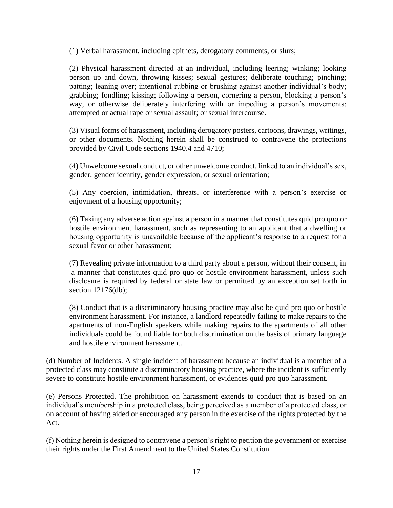(1) Verbal harassment, including epithets, derogatory comments, or slurs;

(2) Physical harassment directed at an individual, including leering; winking; looking person up and down, throwing kisses; sexual gestures; deliberate touching; pinching; patting; leaning over; intentional rubbing or brushing against another individual's body; grabbing; fondling; kissing; following a person, cornering a person, blocking a person's way, or otherwise deliberately interfering with or impeding a person's movements; attempted or actual rape or sexual assault; or sexual intercourse.

(3) Visual forms of harassment, including derogatory posters, cartoons, drawings, writings, or other documents. Nothing herein shall be construed to contravene the protections provided by Civil Code sections 1940.4 and 4710;

(4) Unwelcome sexual conduct, or other unwelcome conduct, linked to an individual's sex, gender, gender identity, gender expression, or sexual orientation;

(5) Any coercion, intimidation, threats, or interference with a person's exercise or enjoyment of a housing opportunity;

(6) Taking any adverse action against a person in a manner that constitutes quid pro quo or hostile environment harassment, such as representing to an applicant that a dwelling or housing opportunity is unavailable because of the applicant's response to a request for a sexual favor or other harassment;

(7) Revealing private information to a third party about a person, without their consent, in a manner that constitutes quid pro quo or hostile environment harassment, unless such disclosure is required by federal or state law or permitted by an exception set forth in section 12176(db):

(8) Conduct that is a discriminatory housing practice may also be quid pro quo or hostile environment harassment. For instance, a landlord repeatedly failing to make repairs to the apartments of non-English speakers while making repairs to the apartments of all other individuals could be found liable for both discrimination on the basis of primary language and hostile environment harassment.

(d) Number of Incidents. A single incident of harassment because an individual is a member of a protected class may constitute a discriminatory housing practice, where the incident is sufficiently severe to constitute hostile environment harassment, or evidences quid pro quo harassment.

(e) Persons Protected. The prohibition on harassment extends to conduct that is based on an individual's membership in a protected class, being perceived as a member of a protected class, or on account of having aided or encouraged any person in the exercise of the rights protected by the Act.

(f) Nothing herein is designed to contravene a person's right to petition the government or exercise their rights under the First Amendment to the United States Constitution.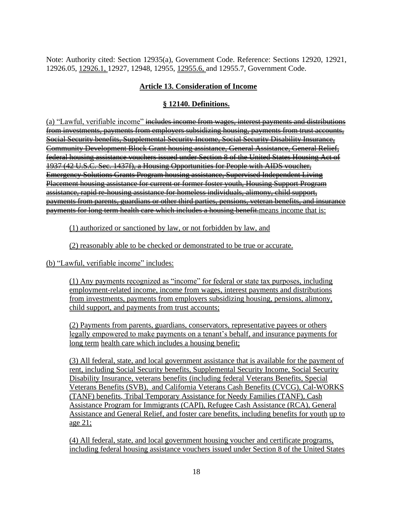Note: Authority cited: Section 12935(a), Government Code. Reference: Sections 12920, 12921, 12926.05, 12926.1, 12927, 12948, 12955, 12955.6, and 12955.7, Government Code.

# **Article 13. Consideration of Income**

## **§ 12140. Definitions.**

(a) "Lawful, verifiable income" includes income from wages, interest payments and distributions from investments, payments from employers subsidizing housing, payments from trust accounts, Social Security benefits, Supplemental Security Income, Social Security Disability Insurance, Community Development Block Grant housing assistance, General Assistance, General Relief, federal housing assistance vouchers issued under Section 8 of the United States Housing Act of 1937 (42 U.S.C. Sec. 1437f), a Housing Opportunities for People with AIDS voucher, Emergency Solutions Grants Program housing assistance, Supervised Independent Living Placement housing assistance for current or former foster youth, Housing Support Program assistance, rapid re-housing assistance for homeless individuals, alimony, child support, payments from parents, guardians or other third parties, pensions, veteran benefits, and insurance payments for long term health care which includes a housing benefit. means income that is:

(1) authorized or sanctioned by law, or not forbidden by law, and

(2) reasonably able to be checked or demonstrated to be true or accurate.

(b) "Lawful, verifiable income" includes:

(1) Any payments recognized as "income" for federal or state tax purposes, including employment-related income, income from wages, interest payments and distributions from investments, payments from employers subsidizing housing, pensions, alimony, child support, and payments from trust accounts;

(2) Payments from parents, guardians, conservators, representative payees or others legally empowered to make payments on a tenant's behalf, and insurance payments for long term health care which includes a housing benefit;

(3) All federal, state, and local government assistance that is available for the payment of rent, including Social Security benefits, Supplemental Security Income, Social Security Disability Insurance, veterans benefits (including federal Veterans Benefits, Special Veterans Benefits (SVB), and California Veterans Cash Benefits (CVCG), Cal-WORKS (TANF) benefits, Tribal Temporary Assistance for Needy Families (TANF), Cash Assistance Program for Immigrants (CAPI), Refugee Cash Assistance (RCA), General Assistance and General Relief, and foster care benefits, including benefits for youth up to age 21;

(4) All federal, state, and local government housing voucher and certificate programs, including federal housing assistance vouchers issued under Section 8 of the United States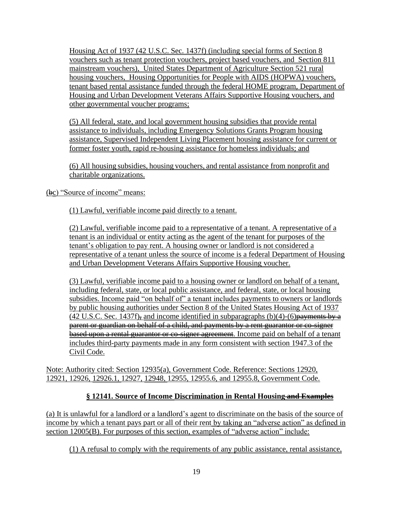Housing Act of 1937 (42 U.S.C. Sec. 1437f) (including special forms of Section 8 vouchers such as tenant protection vouchers, project based vouchers, and Section 811 mainstream vouchers), United States Department of Agriculture Section 521 rural housing vouchers, Housing Opportunities for People with AIDS (HOPWA) vouchers, tenant based rental assistance funded through the federal HOME program, Department of Housing and Urban Development Veterans Affairs Supportive Housing vouchers, and other governmental voucher programs;

(5) All federal, state, and local government housing subsidies that provide rental assistance to individuals, including Emergency Solutions Grants Program housing assistance, Supervised Independent Living Placement housing assistance for current or former foster youth, rapid re-housing assistance for homeless individuals; and

(6) All housing subsidies, housing vouchers, and rental assistance from nonprofit and charitable organizations.

(bc) "Source of income" means:

(1) Lawful, verifiable income paid directly to a tenant.

(2) Lawful, verifiable income paid to a representative of a tenant. A representative of a tenant is an individual or entity acting as the agent of the tenant for purposes of the tenant's obligation to pay rent. A housing owner or landlord is not considered a representative of a tenant unless the source of income is a federal Department of Housing and Urban Development Veterans Affairs Supportive Housing voucher.

(3) Lawful, verifiable income paid to a housing owner or landlord on behalf of a tenant, including federal, state, or local public assistance, and federal, state, or local housing subsidies. Income paid "on behalf of" a tenant includes payments to owners or landlords by public housing authorities under Section 8 of the United States Housing Act of 1937  $(42 \text{ U.S.C.}$  Sec. 1437f)<sub>7</sub> and income identified in subparagraphs  $(b)(4)-(6)$  payments by a parent or guardian on behalf of a child, and payments by a rent guarantor or co-signer based upon a rental guarantor or co-signer agreement. Income paid on behalf of a tenant includes third-party payments made in any form consistent with section 1947.3 of the Civil Code.

Note: Authority cited: Section 12935(a), Government Code. Reference: Sections 12920, 12921, 12926, 12926.1, 12927, 12948, 12955, 12955.6, and 12955.8, Government Code.

# **§ 12141. Source of Income Discrimination in Rental Housing and Examples**

(a) It is unlawful for a landlord or a landlord's agent to discriminate on the basis of the source of income by which a tenant pays part or all of their rent by taking an "adverse action" as defined in section 12005(B). For purposes of this section, examples of "adverse action" include:

(1) A refusal to comply with the requirements of any public assistance, rental assistance,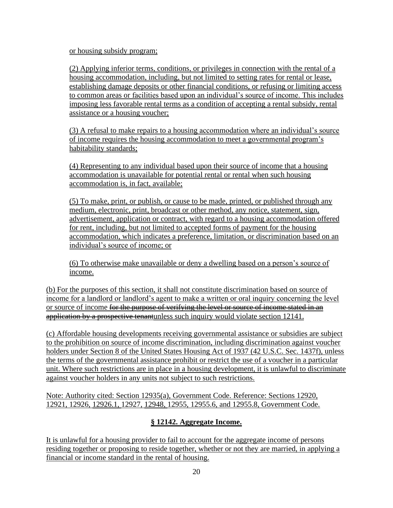or housing subsidy program;

(2) Applying inferior terms, conditions, or privileges in connection with the rental of a housing accommodation, including, but not limited to setting rates for rental or lease, establishing damage deposits or other financial conditions, or refusing or limiting access to common areas or facilities based upon an individual's source of income. This includes imposing less favorable rental terms as a condition of accepting a rental subsidy, rental assistance or a housing voucher;

(3) A refusal to make repairs to a housing accommodation where an individual's source of income requires the housing accommodation to meet a governmental program's habitability standards;

(4) Representing to any individual based upon their source of income that a housing accommodation is unavailable for potential rental or rental when such housing accommodation is, in fact, available;

(5) To make, print, or publish, or cause to be made, printed, or published through any medium, electronic, print, broadcast or other method, any notice, statement, sign, advertisement, application or contract, with regard to a housing accommodation offered for rent, including, but not limited to accepted forms of payment for the housing accommodation, which indicates a preference, limitation, or discrimination based on an individual's source of income; or

(6) To otherwise make unavailable or deny a dwelling based on a person's source of income.

(b) For the purposes of this section, it shall not constitute discrimination based on source of income for a landlord or landlord's agent to make a written or oral inquiry concerning the level or source of income for the purpose of verifying the level or source of income stated in an application by a prospective tenantunless such inquiry would violate section 12141.

(c) Affordable housing developments receiving governmental assistance or subsidies are subject to the prohibition on source of income discrimination, including discrimination against voucher holders under Section 8 of the United States Housing Act of 1937 (42 U.S.C. Sec. 1437f), unless the terms of the governmental assistance prohibit or restrict the use of a voucher in a particular unit. Where such restrictions are in place in a housing development, it is unlawful to discriminate against voucher holders in any units not subject to such restrictions.

Note: Authority cited: Section 12935(a), Government Code. Reference: Sections 12920, 12921, 12926, 12926.1, 12927, 12948, 12955, 12955.6, and 12955.8, Government Code.

# **§ 12142. Aggregate Income.**

It is unlawful for a housing provider to fail to account for the aggregate income of persons residing together or proposing to reside together, whether or not they are married, in applying a financial or income standard in the rental of housing.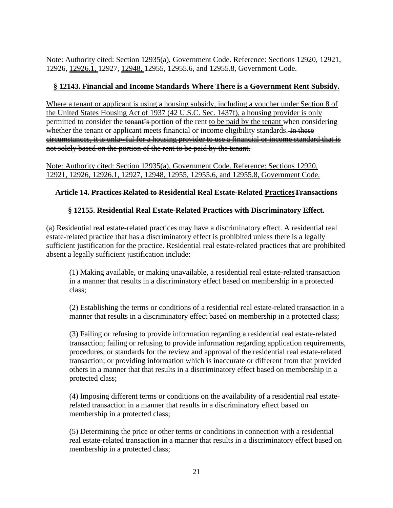Note: Authority cited: Section 12935(a), Government Code. Reference: Sections 12920, 12921, 12926, 12926.1, 12927, 12948, 12955, 12955.6, and 12955.8, Government Code.

## **§ 12143. Financial and Income Standards Where There is a Government Rent Subsidy.**

Where a tenant or applicant is using a housing subsidy, including a voucher under Section 8 of the United States Housing Act of 1937 (42 U.S.C. Sec. 1437f), a housing provider is only permitted to consider the tenant's portion of the rent to be paid by the tenant when considering whether the tenant or applicant meets financial or income eligibility standards. In these circumstances, it is unlawful for a housing provider to use a financial or income standard that is not solely based on the portion of the rent to be paid by the tenant.

Note: Authority cited: Section 12935(a), Government Code. Reference: Sections 12920, 12921, 12926, 12926.1, 12927, 12948, 12955, 12955.6, and 12955.8, Government Code*.*

## **Article 14. Practices Related to Residential Real Estate-Related PracticesTransactions**

## **§ 12155. Residential Real Estate-Related Practices with Discriminatory Effect.**

(a) Residential real estate-related practices may have a discriminatory effect. A residential real estate-related practice that has a discriminatory effect is prohibited unless there is a legally sufficient justification for the practice. Residential real estate-related practices that are prohibited absent a legally sufficient justification include:

(1) Making available, or making unavailable, a residential real estate-related transaction in a manner that results in a discriminatory effect based on membership in a protected class;

(2) Establishing the terms or conditions of a residential real estate-related transaction in a manner that results in a discriminatory effect based on membership in a protected class;

(3) Failing or refusing to provide information regarding a residential real estate-related transaction; failing or refusing to provide information regarding application requirements, procedures, or standards for the review and approval of the residential real estate-related transaction; or providing information which is inaccurate or different from that provided others in a manner that that results in a discriminatory effect based on membership in a protected class;

(4) Imposing different terms or conditions on the availability of a residential real estaterelated transaction in a manner that results in a discriminatory effect based on membership in a protected class;

(5) Determining the price or other terms or conditions in connection with a residential real estate-related transaction in a manner that results in a discriminatory effect based on membership in a protected class;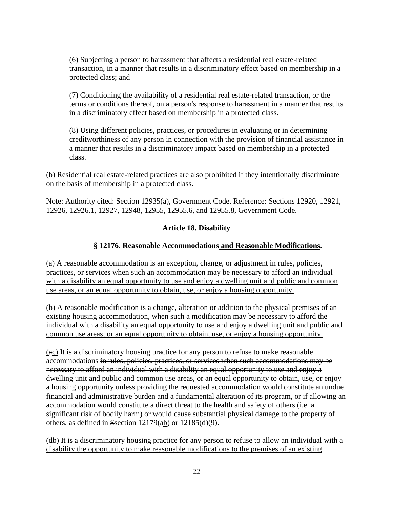(6) Subjecting a person to harassment that affects a residential real estate-related transaction, in a manner that results in a discriminatory effect based on membership in a protected class; and

(7) Conditioning the availability of a residential real estate-related transaction, or the terms or conditions thereof, on a person's response to harassment in a manner that results in a discriminatory effect based on membership in a protected class.

(8) Using different policies, practices, or procedures in evaluating or in determining creditworthiness of any person in connection with the provision of financial assistance in a manner that results in a discriminatory impact based on membership in a protected class.

(b) Residential real estate-related practices are also prohibited if they intentionally discriminate on the basis of membership in a protected class.

Note: Authority cited: Section 12935(a), Government Code. Reference: Sections 12920, 12921, 12926, 12926.1, 12927, 12948, 12955, 12955.6, and 12955.8, Government Code.

### **Article 18. Disability**

### **§ 12176. Reasonable Accommodations and Reasonable Modifications.**

(a) A reasonable accommodation is an exception, change, or adjustment in rules, policies, practices, or services when such an accommodation may be necessary to afford an individual with a disability an equal opportunity to use and enjoy a dwelling unit and public and common use areas, or an equal opportunity to obtain, use, or enjoy a housing opportunity.

(b) A reasonable modification is a change, alteration or addition to the physical premises of an existing housing accommodation, when such a modification may be necessary to afford the individual with a disability an equal opportunity to use and enjoy a dwelling unit and public and common use areas, or an equal opportunity to obtain, use, or enjoy a housing opportunity.

(ac) It is a discriminatory housing practice for any person to refuse to make reasonable accommodations in rules, policies, practices, or services when such accommodations may be necessary to afford an individual with a disability an equal opportunity to use and enjoy a dwelling unit and public and common use areas, or an equal opportunity to obtain, use, or enjoy a housing opportunity unless providing the requested accommodation would constitute an undue financial and administrative burden and a fundamental alteration of its program, or if allowing an accommodation would constitute a direct threat to the health and safety of others (i.e. a significant risk of bodily harm) or would cause substantial physical damage to the property of others, as defined in Ssection  $12179$ (ab) or  $12185(d)(9)$ .

(db) It is a discriminatory housing practice for any person to refuse to allow an individual with a disability the opportunity to make reasonable modifications to the premises of an existing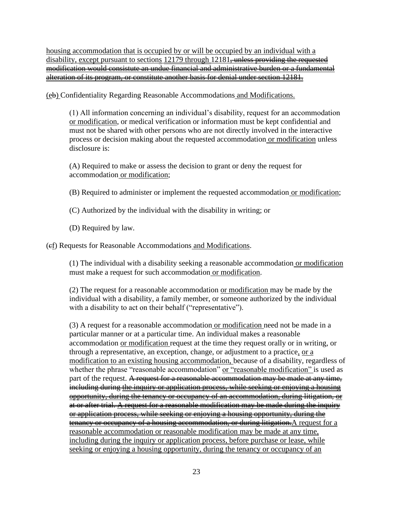housing accommodation that is occupied by or will be occupied by an individual with a disability, except pursuant to sections 12179 through 12181<del>, unless providing the requested</del> modification would consistute an undue financial and administrative burden or a fundamental alteration of its program, or constitute another basis for denial under section 12181.

(eb) Confidentiality Regarding Reasonable Accommodations and Modifications.

(1) All information concerning an individual's disability, request for an accommodation or modification, or medical verification or information must be kept confidential and must not be shared with other persons who are not directly involved in the interactive process or decision making about the requested accommodation or modification unless disclosure is:

(A) Required to make or assess the decision to grant or deny the request for accommodation or modification;

(B) Required to administer or implement the requested accommodation or modification;

(C) Authorized by the individual with the disability in writing; or

(D) Required by law.

(cf) Requests for Reasonable Accommodations and Modifications.

(1) The individual with a disability seeking a reasonable accommodation or modification must make a request for such accommodation or modification.

(2) The request for a reasonable accommodation or modification may be made by the individual with a disability, a family member, or someone authorized by the individual with a disability to act on their behalf ("representative").

(3) A request for a reasonable accommodation or modification need not be made in a particular manner or at a particular time. An individual makes a reasonable accommodation or modification request at the time they request orally or in writing, or through a representative, an exception, change, or adjustment to a practice, or a modification to an existing housing accommodation, because of a disability, regardless of whether the phrase "reasonable accommodation" or "reasonable modification" is used as part of the request. A request for a reasonable accommodation may be made at any time, including during the inquiry or application process, while seeking or enjoying a housing opportunity, during the tenancy or occupancy of an accommodation, during litigation, or at or after trial. A request for a reasonable modification may be made during the inquiry or application process, while seeking or enjoying a housing opportunity, during the tenancy or occupancy of a housing accommodation, or during litigation. A request for a reasonable accommodation or reasonable modification may be made at any time, including during the inquiry or application process, before purchase or lease, while seeking or enjoying a housing opportunity, during the tenancy or occupancy of an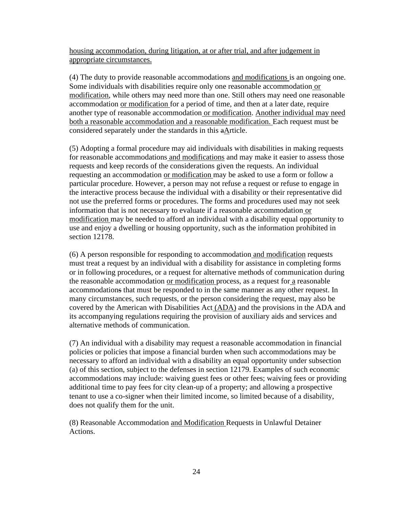housing accommodation, during litigation, at or after trial, and after judgement in appropriate circumstances.

(4) The duty to provide reasonable accommodations and modifications is an ongoing one. Some individuals with disabilities require only one reasonable accommodation or modification, while others may need more than one. Still others may need one reasonable accommodation or modification for a period of time, and then at a later date, require another type of reasonable accommodation or modification. Another individual may need both a reasonable accommodation and a reasonable modification. Each request must be considered separately under the standards in this aArticle.

(5) Adopting a formal procedure may aid individuals with disabilities in making requests for reasonable accommodations and modifications and may make it easier to assess those requests and keep records of the considerations given the requests. An individual requesting an accommodation or modification may be asked to use a form or follow a particular procedure. However, a person may not refuse a request or refuse to engage in the interactive process because the individual with a disability or their representative did not use the preferred forms or procedures. The forms and procedures used may not seek information that is not necessary to evaluate if a reasonable accommodation or modification may be needed to afford an individual with a disability equal opportunity to use and enjoy a dwelling or housing opportunity, such as the information prohibited in section 12178.

(6) A person responsible for responding to accommodation and modification requests must treat a request by an individual with a disability for assistance in completing forms or in following procedures, or a request for alternative methods of communication during the reasonable accommodation or modification process, as a request for a reasonable accommodations that must be responded to in the same manner as any other request. In many circumstances, such requests, or the person considering the request, may also be covered by the American with Disabilities Act (ADA) and the provisions in the ADA and its accompanying regulations requiring the provision of auxiliary aids and services and alternative methods of communication.

(7) An individual with a disability may request a reasonable accommodation in financial policies or policies that impose a financial burden when such accommodations may be necessary to afford an individual with a disability an equal opportunity under subsection (a) of this section, subject to the defenses in section 12179. Examples of such economic accommodations may include: waiving guest fees or other fees; waiving fees or providing additional time to pay fees for city clean-up of a property; and allowing a prospective tenant to use a co-signer when their limited income, so limited because of a disability, does not qualify them for the unit.

(8) Reasonable Accommodation and Modification Requests in Unlawful Detainer Actions.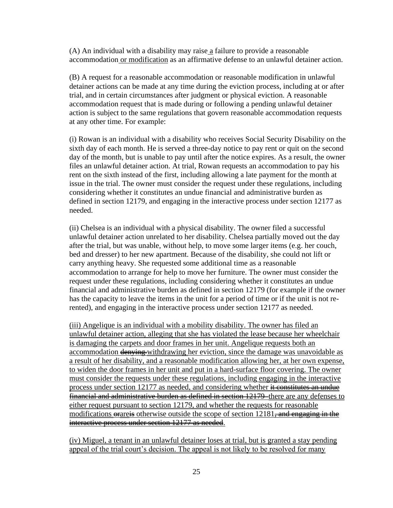(A) An individual with a disability may raise a failure to provide a reasonable accommodation or modification as an affirmative defense to an unlawful detainer action.

(B) A request for a reasonable accommodation or reasonable modification in unlawful detainer actions can be made at any time during the eviction process, including at or after trial, and in certain circumstances after judgment or physical eviction. A reasonable accommodation request that is made during or following a pending unlawful detainer action is subject to the same regulations that govern reasonable accommodation requests at any other time. For example:

(i) Rowan is an individual with a disability who receives Social Security Disability on the sixth day of each month. He is served a three-day notice to pay rent or quit on the second day of the month, but is unable to pay until after the notice expires. As a result, the owner files an unlawful detainer action. At trial, Rowan requests an accommodation to pay his rent on the sixth instead of the first, including allowing a late payment for the month at issue in the trial. The owner must consider the request under these regulations, including considering whether it constitutes an undue financial and administrative burden as defined in section 12179, and engaging in the interactive process under section 12177 as needed.

(ii) Chelsea is an individual with a physical disability. The owner filed a successful unlawful detainer action unrelated to her disability. Chelsea partially moved out the day after the trial, but was unable, without help, to move some larger items (e.g. her couch, bed and dresser) to her new apartment. Because of the disability, she could not lift or carry anything heavy. She requested some additional time as a reasonable accommodation to arrange for help to move her furniture. The owner must consider the request under these regulations, including considering whether it constitutes an undue financial and administrative burden as defined in section 12179 (for example if the owner has the capacity to leave the items in the unit for a period of time or if the unit is not rerented), and engaging in the interactive process under section 12177 as needed.

(iii) Angelique is an individual with a mobility disability. The owner has filed an unlawful detainer action, alleging that she has violated the lease because her wheelchair is damaging the carpets and door frames in her unit. Angelique requests both an accommodation denying withdrawing her eviction, since the damage was unavoidable as a result of her disability, and a reasonable modification allowing her, at her own expense, to widen the door frames in her unit and put in a hard-surface floor covering. The owner must consider the requests under these regulations, including engaging in the interactive process under section 12177 as needed, and considering whether it constitutes an undue financial and administrative burden as defined in section 12179–there are any defenses to either request pursuant to section 12179, and whether the requests for reasonable modifications  $\theta$  are  $\ddot{\theta}$  otherwise outside the scope of section 12181<del>, and engaging in the</del> interactive process under section 12177 as needed.

(iv) Miguel, a tenant in an unlawful detainer loses at trial, but is granted a stay pending appeal of the trial court's decision. The appeal is not likely to be resolved for many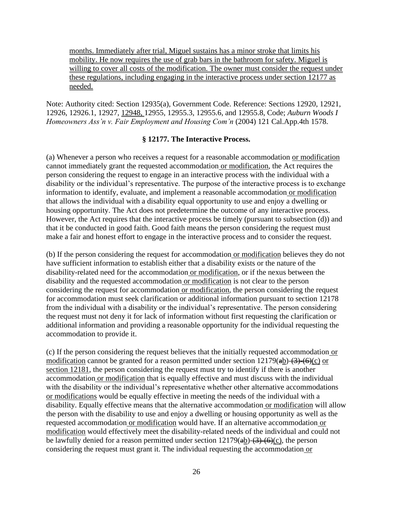months. Immediately after trial, Miguel sustains has a minor stroke that limits his mobility. He now requires the use of grab bars in the bathroom for safety. Miguel is willing to cover all costs of the modification. The owner must consider the request under these regulations, including engaging in the interactive process under section 12177 as needed.

Note: Authority cited: Section 12935(a), Government Code. Reference: Sections 12920, 12921, 12926, 12926.1, 12927, 12948, 12955, 12955.3, 12955.6, and 12955.8, Code; *Auburn Woods I Homeowners Ass'n v. Fair Employment and Housing Com'n* (2004) 121 Cal.App.4th 1578.

#### **§ 12177. The Interactive Process.**

(a) Whenever a person who receives a request for a reasonable accommodation or modification cannot immediately grant the requested accommodation or modification, the Act requires the person considering the request to engage in an interactive process with the individual with a disability or the individual's representative. The purpose of the interactive process is to exchange information to identify, evaluate, and implement a reasonable accommodation or modification that allows the individual with a disability equal opportunity to use and enjoy a dwelling or housing opportunity. The Act does not predetermine the outcome of any interactive process. However, the Act requires that the interactive process be timely (pursuant to subsection (d)) and that it be conducted in good faith. Good faith means the person considering the request must make a fair and honest effort to engage in the interactive process and to consider the request.

(b) If the person considering the request for accommodation or modification believes they do not have sufficient information to establish either that a disability exists or the nature of the disability-related need for the accommodation or modification, or if the nexus between the disability and the requested accommodation or modification is not clear to the person considering the request for accommodation or modification, the person considering the request for accommodation must seek clarification or additional information pursuant to section 12178 from the individual with a disability or the individual's representative. The person considering the request must not deny it for lack of information without first requesting the clarification or additional information and providing a reasonable opportunity for the individual requesting the accommodation to provide it.

(c) If the person considering the request believes that the initially requested accommodation or modification cannot be granted for a reason permitted under section  $12179(a b)$ - $\left(\frac{3}{6}\right)$  (c) or section 12181, the person considering the request must try to identify if there is another accommodation or modification that is equally effective and must discuss with the individual with the disability or the individual's representative whether other alternative accommodations or modifications would be equally effective in meeting the needs of the individual with a disability. Equally effective means that the alternative accommodation or modification will allow the person with the disability to use and enjoy a dwelling or housing opportunity as well as the requested accommodation or modification would have. If an alternative accommodation or modification would effectively meet the disability-related needs of the individual and could not be lawfully denied for a reason permitted under section  $12179(a\underline{b})-(3)+(6)(c)$ , the person considering the request must grant it. The individual requesting the accommodation or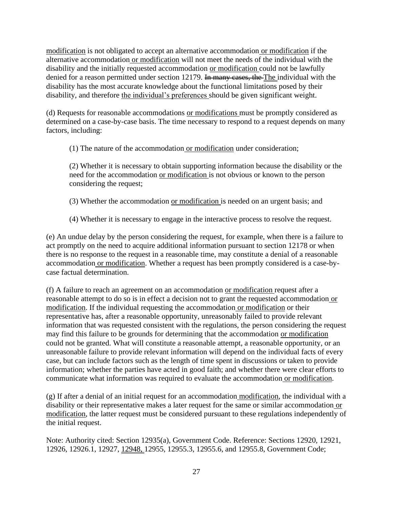modification is not obligated to accept an alternative accommodation or modification if the alternative accommodation or modification will not meet the needs of the individual with the disability and the initially requested accommodation or modification could not be lawfully denied for a reason permitted under section 12179. In many cases, the The individual with the disability has the most accurate knowledge about the functional limitations posed by their disability, and therefore the individual's preferences should be given significant weight.

(d) Requests for reasonable accommodations or modifications must be promptly considered as determined on a case-by-case basis. The time necessary to respond to a request depends on many factors, including:

(1) The nature of the accommodation or modification under consideration;

(2) Whether it is necessary to obtain supporting information because the disability or the need for the accommodation or modification is not obvious or known to the person considering the request;

(3) Whether the accommodation or modification is needed on an urgent basis; and

(4) Whether it is necessary to engage in the interactive process to resolve the request.

(e) An undue delay by the person considering the request, for example, when there is a failure to act promptly on the need to acquire additional information pursuant to section 12178 or when there is no response to the request in a reasonable time, may constitute a denial of a reasonable accommodation or modification. Whether a request has been promptly considered is a case-bycase factual determination.

(f) A failure to reach an agreement on an accommodation or modification request after a reasonable attempt to do so is in effect a decision not to grant the requested accommodation or modification. If the individual requesting the accommodation or modification or their representative has, after a reasonable opportunity, unreasonably failed to provide relevant information that was requested consistent with the regulations, the person considering the request may find this failure to be grounds for determining that the accommodation or modification could not be granted. What will constitute a reasonable attempt, a reasonable opportunity, or an unreasonable failure to provide relevant information will depend on the individual facts of every case, but can include factors such as the length of time spent in discussions or taken to provide information; whether the parties have acted in good faith; and whether there were clear efforts to communicate what information was required to evaluate the accommodation or modification.

(g) If after a denial of an initial request for an accommodation modification, the individual with a disability or their representative makes a later request for the same or similar accommodation or modification, the latter request must be considered pursuant to these regulations independently of the initial request.

Note: Authority cited: Section 12935(a), Government Code. Reference: Sections 12920, 12921, 12926, 12926.1, 12927, 12948, 12955, 12955.3, 12955.6, and 12955.8, Government Code;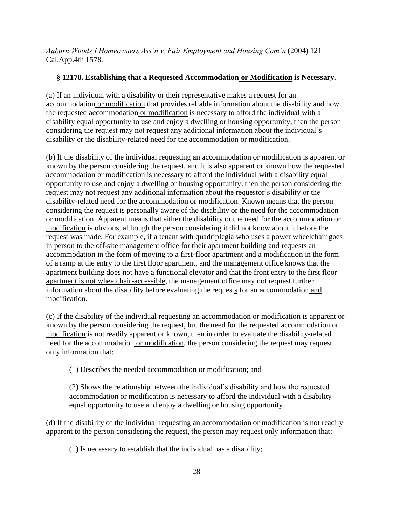*Auburn Woods I Homeowners Ass'n v. Fair Employment and Housing Com'n* (2004) 121 Cal.App.4th 1578.

### **§ 12178. Establishing that a Requested Accommodation or Modification is Necessary.**

(a) If an individual with a disability or their representative makes a request for an accommodation or modification that provides reliable information about the disability and how the requested accommodation or modification is necessary to afford the individual with a disability equal opportunity to use and enjoy a dwelling or housing opportunity, then the person considering the request may not request any additional information about the individual's disability or the disability-related need for the accommodation or modification.

(b) If the disability of the individual requesting an accommodation or modification is apparent or known by the person considering the request, and it is also apparent or known how the requested accommodation or modification is necessary to afford the individual with a disability equal opportunity to use and enjoy a dwelling or housing opportunity, then the person considering the request may not request any additional information about the requestor's disability or the disability-related need for the accommodation or modification. Known means that the person considering the request is personally aware of the disability or the need for the accommodation or modification. Apparent means that either the disability or the need for the accommodation or modification is obvious, although the person considering it did not know about it before the request was made. For example, if a tenant with quadriplegia who uses a power wheelchair goes in person to the off-site management office for their apartment building and requests an accommodation in the form of moving to a first-floor apartment and a modification in the form of a ramp at the entry to the first floor apartment, and the management office knows that the apartment building does not have a functional elevator and that the front entry to the first floor apartment is not wheelchair-accessible, the management office may not request further information about the disability before evaluating the requests for an accommodation and modification.

(c) If the disability of the individual requesting an accommodation or modification is apparent or known by the person considering the request, but the need for the requested accommodation or modification is not readily apparent or known, then in order to evaluate the disability-related need for the accommodation or modification, the person considering the request may request only information that:

(1) Describes the needed accommodation or modification; and

(2) Shows the relationship between the individual's disability and how the requested accommodation or modification is necessary to afford the individual with a disability equal opportunity to use and enjoy a dwelling or housing opportunity.

(d) If the disability of the individual requesting an accommodation or modification is not readily apparent to the person considering the request, the person may request only information that:

(1) Is necessary to establish that the individual has a disability;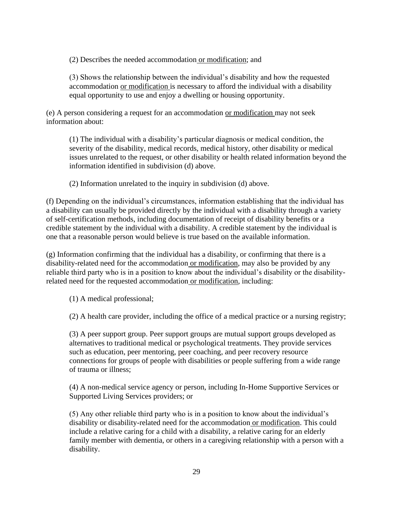(2) Describes the needed accommodation or modification; and

(3) Shows the relationship between the individual's disability and how the requested accommodation or modification is necessary to afford the individual with a disability equal opportunity to use and enjoy a dwelling or housing opportunity.

(e) A person considering a request for an accommodation or modification may not seek information about:

(1) The individual with a disability's particular diagnosis or medical condition, the severity of the disability, medical records, medical history, other disability or medical issues unrelated to the request, or other disability or health related information beyond the information identified in subdivision (d) above.

(2) Information unrelated to the inquiry in subdivision (d) above.

(f) Depending on the individual's circumstances, information establishing that the individual has a disability can usually be provided directly by the individual with a disability through a variety of self-certification methods, including documentation of receipt of disability benefits or a credible statement by the individual with a disability. A credible statement by the individual is one that a reasonable person would believe is true based on the available information.

(g) Information confirming that the individual has a disability, or confirming that there is a disability-related need for the accommodation or modification, may also be provided by any reliable third party who is in a position to know about the individual's disability or the disabilityrelated need for the requested accommodation or modification, including:

(1) A medical professional;

(2) A health care provider, including the office of a medical practice or a nursing registry;

(3) A peer support group. Peer support groups are mutual support groups developed as alternatives to traditional medical or psychological treatments. They provide services such as education, peer mentoring, peer coaching, and peer recovery resource connections for groups of people with disabilities or people suffering from a wide range of trauma or illness;

(4) A non-medical service agency or person, including In-Home Supportive Services or Supported Living Services providers; or

(5) Any other reliable third party who is in a position to know about the individual's disability or disability-related need for the accommodation or modification. This could include a relative caring for a child with a disability, a relative caring for an elderly family member with dementia, or others in a caregiving relationship with a person with a disability.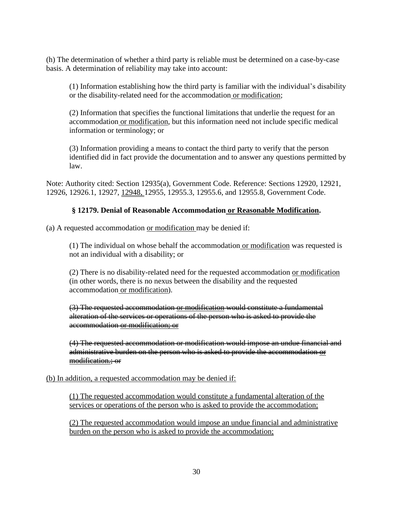(h) The determination of whether a third party is reliable must be determined on a case-by-case basis. A determination of reliability may take into account:

(1) Information establishing how the third party is familiar with the individual's disability or the disability-related need for the accommodation or modification;

(2) Information that specifies the functional limitations that underlie the request for an accommodation or modification, but this information need not include specific medical information or terminology; or

(3) Information providing a means to contact the third party to verify that the person identified did in fact provide the documentation and to answer any questions permitted by law.

Note: Authority cited: Section 12935(a), Government Code. Reference: Sections 12920, 12921, 12926, 12926.1, 12927, 12948, 12955, 12955.3, 12955.6, and 12955.8, Government Code.

### **§ 12179. Denial of Reasonable Accommodation or Reasonable Modification.**

(a) A requested accommodation or modification may be denied if:

(1) The individual on whose behalf the accommodation or modification was requested is not an individual with a disability; or

(2) There is no disability-related need for the requested accommodation or modification (in other words, there is no nexus between the disability and the requested accommodation or modification).

(3) The requested accommodation or modification would constitute a fundamental alteration of the services or operations of the person who is asked to provide the accommodation or modification; or

(4) The requested accommodation or modification would impose an undue financial and administrative burden on the person who is asked to provide the accommodation or modification.; or

(b) In addition, a requested accommodation may be denied if:

(1) The requested accommodation would constitute a fundamental alteration of the services or operations of the person who is asked to provide the accommodation;

(2) The requested accommodation would impose an undue financial and administrative burden on the person who is asked to provide the accommodation;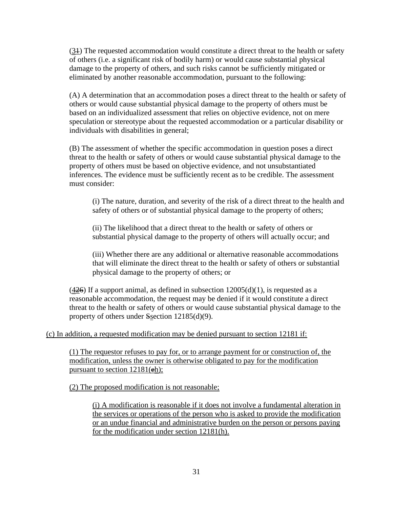(31) The requested accommodation would constitute a direct threat to the health or safety of others (i.e. a significant risk of bodily harm) or would cause substantial physical damage to the property of others, and such risks cannot be sufficiently mitigated or eliminated by another reasonable accommodation, pursuant to the following:

(A) A determination that an accommodation poses a direct threat to the health or safety of others or would cause substantial physical damage to the property of others must be based on an individualized assessment that relies on objective evidence, not on mere speculation or stereotype about the requested accommodation or a particular disability or individuals with disabilities in general;

(B) The assessment of whether the specific accommodation in question poses a direct threat to the health or safety of others or would cause substantial physical damage to the property of others must be based on objective evidence, and not unsubstantiated inferences. The evidence must be sufficiently recent as to be credible. The assessment must consider:

(i) The nature, duration, and severity of the risk of a direct threat to the health and safety of others or of substantial physical damage to the property of others;

(ii) The likelihood that a direct threat to the health or safety of others or substantial physical damage to the property of others will actually occur; and

(iii) Whether there are any additional or alternative reasonable accommodations that will eliminate the direct threat to the health or safety of others or substantial physical damage to the property of others; or

 $(426)$  If a support animal, as defined in subsection  $12005(d)(1)$ , is requested as a reasonable accommodation, the request may be denied if it would constitute a direct threat to the health or safety of others or would cause substantial physical damage to the property of others under Ssection 12185(d)(9).

### (c) In addition, a requested modification may be denied pursuant to section 12181 if:

(1) The requestor refuses to pay for, or to arrange payment for or construction of, the modification, unless the owner is otherwise obligated to pay for the modification pursuant to section  $12181(\frac{eh}{eh})$ ;

(2) The proposed modification is not reasonable;

(i) A modification is reasonable if it does not involve a fundamental alteration in the services or operations of the person who is asked to provide the modification or an undue financial and administrative burden on the person or persons paying for the modification under section 12181(h).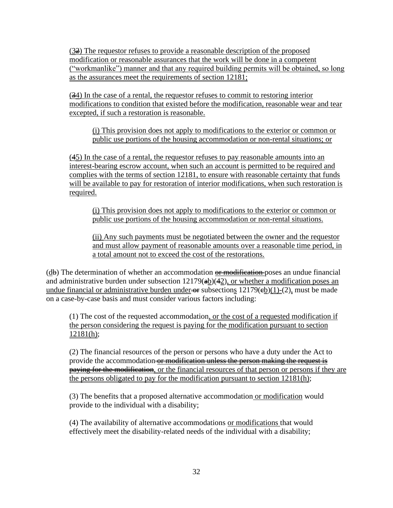$(3\frac{3}{2})$  The requestor refuses to provide a reasonable description of the proposed modification or reasonable assurances that the work will be done in a competent ("workmanlike") manner and that any required building permits will be obtained, so long as the assurances meet the requirements of section 12181;

(34) In the case of a rental, the requestor refuses to commit to restoring interior modifications to condition that existed before the modification, reasonable wear and tear excepted, if such a restoration is reasonable.

(i) This provision does not apply to modifications to the exterior or common or public use portions of the housing accommodation or non-rental situations; or

(45) In the case of a rental, the requestor refuses to pay reasonable amounts into an interest-bearing escrow account, when such an account is permitted to be required and complies with the terms of section 12181, to ensure with reasonable certainty that funds will be available to pay for restoration of interior modifications, when such restoration is required.

(i) This provision does not apply to modifications to the exterior or common or public use portions of the housing accommodation or non-rental situations.

(ii) Any such payments must be negotiated between the owner and the requestor and must allow payment of reasonable amounts over a reasonable time period, in a total amount not to exceed the cost of the restorations.

 $(d\mathbf{b})$  The determination of whether an accommodation  $\theta$  modification poses an undue financial and administrative burden under subsection  $12179(a\underline{b})(42)$ , or whether a modification poses an undue financial or administrative burden under  $\Theta$  subsections 12179( $\Theta$ )(1)-(2), must be made on a case-by-case basis and must consider various factors including:

(1) The cost of the requested accommodation, or the cost of a requested modification if the person considering the request is paying for the modification pursuant to section 12181(h);

(2) The financial resources of the person or persons who have a duty under the Act to provide the accommodation or modification unless the person making the request is paying for the modification, or the financial resources of that person or persons if they are the persons obligated to pay for the modification pursuant to section 12181(h);

(3) The benefits that a proposed alternative accommodation or modification would provide to the individual with a disability;

(4) The availability of alternative accommodations or modifications that would effectively meet the disability-related needs of the individual with a disability;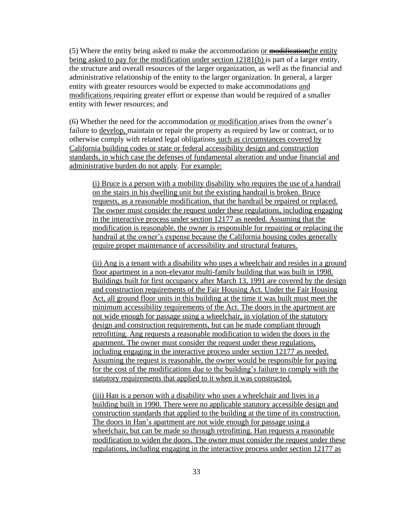(5) Where the entity being asked to make the accommodation or modification the entity being asked to pay for the modification under section 12181(h) is part of a larger entity, the structure and overall resources of the larger organization, as well as the financial and administrative relationship of the entity to the larger organization. In general, a larger entity with greater resources would be expected to make accommodations and modifications requiring greater effort or expense than would be required of a smaller entity with fewer resources; and

(6) Whether the need for the accommodation or modification arises from the owner's failure to develop, maintain or repair the property as required by law or contract, or to otherwise comply with related legal obligations such as circumstances covered by California building codes or state or federal accessibility design and construction standards, in which case the defenses of fundamental alteration and undue financial and administrative burden do not apply. For example:

(i) Bruce is a person with a mobility disability who requires the use of a handrail on the stairs in his dwelling unit but the existing handrail is broken. Bruce requests, as a reasonable modification, that the handrail be repaired or replaced. The owner must consider the request under these regulations, including engaging in the interactive process under section 12177 as needed. Assuming that the modification is reasonable, the owner is responsible for repairing or replacing the handrail at the owner's expense because the California housing codes generally require proper maintenance of accessibility and structural features.

(ii) Ang is a tenant with a disability who uses a wheelchair and resides in a ground floor apartment in a non-elevator multi-family building that was built in 1998. Buildings built for first occupancy after March 13, 1991 are covered by the design and construction requirements of the Fair Housing Act. Under the Fair Housing Act, all ground floor units in this building at the time it was built must meet the minimum accessibility requirements of the Act. The doors in the apartment are not wide enough for passage using a wheelchair, in violation of the statutory design and construction requirements, but can be made compliant through retrofitting. Ang requests a reasonable modification to widen the doors in the apartment. The owner must consider the request under these regulations, including engaging in the interactive process under section 12177 as needed. Assuming the request is reasonable, the owner would be responsible for paying for the cost of the modifications due to the building's failure to comply with the statutory requirements that applied to it when it was constructed.

(iii) Han is a person with a disability who uses a wheelchair and lives in a building built in 1990. There were no applicable statutory accessible design and construction standards that applied to the building at the time of its construction. The doors in Han's apartment are not wide enough for passage using a wheelchair, but can be made so through retrofitting. Han requests a reasonable modification to widen the doors. The owner must consider the request under these regulations, including engaging in the interactive process under section 12177 as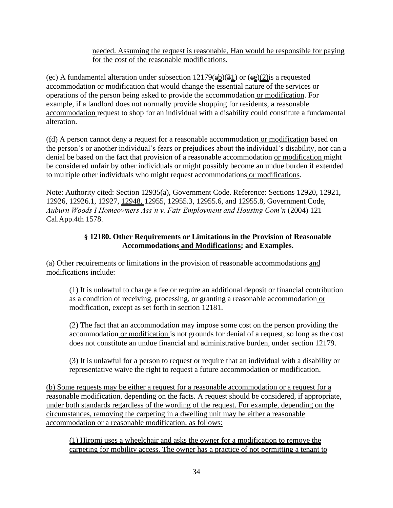### needed. Assuming the request is reasonable, Han would be responsible for paying for the cost of the reasonable modifications.

(ee) A fundamental alteration under subsection  $12179(a\underline{b})(3\underline{1})$  or  $(e\underline{e})(2)$  is a requested accommodation or modification that would change the essential nature of the services or operations of the person being asked to provide the accommodation or modification. For example, if a landlord does not normally provide shopping for residents, a reasonable accommodation request to shop for an individual with a disability could constitute a fundamental alteration.

(fd) A person cannot deny a request for a reasonable accommodation or modification based on the person's or another individual's fears or prejudices about the individual's disability, nor can a denial be based on the fact that provision of a reasonable accommodation or modification might be considered unfair by other individuals or might possibly become an undue burden if extended to multiple other individuals who might request accommodations or modifications.

Note: Authority cited: Section 12935(a), Government Code. Reference: Sections 12920, 12921, 12926, 12926.1, 12927, 12948, 12955, 12955.3, 12955.6, and 12955.8, Government Code, *Auburn Woods I Homeowners Ass'n v. Fair Employment and Housing Com'n* (2004) 121 Cal.App.4th 1578.

### **§ 12180. Other Requirements or Limitations in the Provision of Reasonable Accommodations and Modifications; and Examples.**

(a) Other requirements or limitations in the provision of reasonable accommodations and modifications include:

(1) It is unlawful to charge a fee or require an additional deposit or financial contribution as a condition of receiving, processing, or granting a reasonable accommodation or modification, except as set forth in section 12181.

(2) The fact that an accommodation may impose some cost on the person providing the accommodation or modification is not grounds for denial of a request, so long as the cost does not constitute an undue financial and administrative burden, under section 12179.

(3) It is unlawful for a person to request or require that an individual with a disability or representative waive the right to request a future accommodation or modification.

(b) Some requests may be either a request for a reasonable accommodation or a request for a reasonable modification, depending on the facts. A request should be considered, if appropriate, under both standards regardless of the wording of the request. For example, depending on the circumstances, removing the carpeting in a dwelling unit may be either a reasonable accommodation or a reasonable modification, as follows:

(1) Hiromi uses a wheelchair and asks the owner for a modification to remove the carpeting for mobility access. The owner has a practice of not permitting a tenant to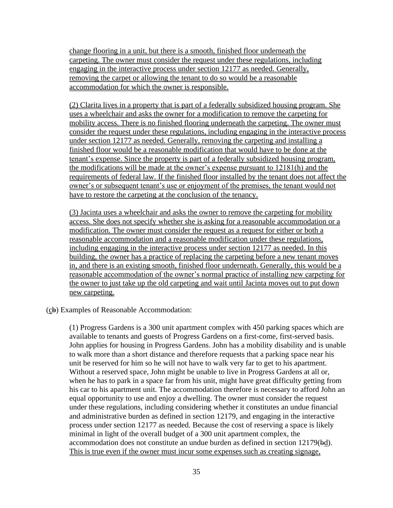change flooring in a unit, but there is a smooth, finished floor underneath the carpeting. The owner must consider the request under these regulations, including engaging in the interactive process under section 12177 as needed. Generally, removing the carpet or allowing the tenant to do so would be a reasonable accommodation for which the owner is responsible.

(2) Clarita lives in a property that is part of a federally subsidized housing program. She uses a wheelchair and asks the owner for a modification to remove the carpeting for mobility access. There is no finished flooring underneath the carpeting. The owner must consider the request under these regulations, including engaging in the interactive process under section 12177 as needed. Generally, removing the carpeting and installing a finished floor would be a reasonable modification that would have to be done at the tenant's expense. Since the property is part of a federally subsidized housing program, the modifications will be made at the owner's expense pursuant to 12181(h) and the requirements of federal law. If the finished floor installed by the tenant does not affect the owner's or subsequent tenant's use or enjoyment of the premises, the tenant would not have to restore the carpeting at the conclusion of the tenancy.

(3) Jacinta uses a wheelchair and asks the owner to remove the carpeting for mobility access. She does not specify whether she is asking for a reasonable accommodation or a modification. The owner must consider the request as a request for either or both a reasonable accommodation and a reasonable modification under these regulations, including engaging in the interactive process under section 12177 as needed. In this building, the owner has a practice of replacing the carpeting before a new tenant moves in, and there is an existing smooth, finished floor underneath. Generally, this would be a reasonable accommodation of the owner's normal practice of installing new carpeting for the owner to just take up the old carpeting and wait until Jacinta moves out to put down new carpeting.

 $(c)$  Examples of Reasonable Accommodation:

(1) Progress Gardens is a 300 unit apartment complex with 450 parking spaces which are available to tenants and guests of Progress Gardens on a first-come, first-served basis. John applies for housing in Progress Gardens. John has a mobility disability and is unable to walk more than a short distance and therefore requests that a parking space near his unit be reserved for him so he will not have to walk very far to get to his apartment. Without a reserved space, John might be unable to live in Progress Gardens at all or, when he has to park in a space far from his unit, might have great difficulty getting from his car to his apartment unit. The accommodation therefore is necessary to afford John an equal opportunity to use and enjoy a dwelling. The owner must consider the request under these regulations, including considering whether it constitutes an undue financial and administrative burden as defined in section 12179, and engaging in the interactive process under section 12177 as needed. Because the cost of reserving a space is likely minimal in light of the overall budget of a 300 unit apartment complex, the accommodation does not constitute an undue burden as defined in section 12179(bd). This is true even if the owner must incur some expenses such as creating signage,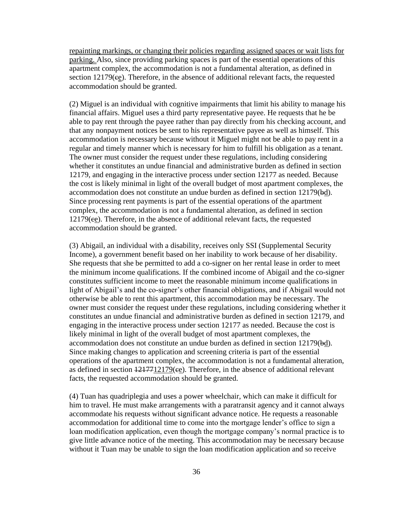repainting markings, or changing their policies regarding assigned spaces or wait lists for parking. Also, since providing parking spaces is part of the essential operations of this apartment complex, the accommodation is not a fundamental alteration, as defined in section 12179(ee). Therefore, in the absence of additional relevant facts, the requested accommodation should be granted.

(2) Miguel is an individual with cognitive impairments that limit his ability to manage his financial affairs. Miguel uses a third party representative payee. He requests that he be able to pay rent through the payee rather than pay directly from his checking account, and that any nonpayment notices be sent to his representative payee as well as himself. This accommodation is necessary because without it Miguel might not be able to pay rent in a regular and timely manner which is necessary for him to fulfill his obligation as a tenant. The owner must consider the request under these regulations, including considering whether it constitutes an undue financial and administrative burden as defined in section 12179, and engaging in the interactive process under section 12177 as needed. Because the cost is likely minimal in light of the overall budget of most apartment complexes, the accommodation does not constitute an undue burden as defined in section 12179(bd). Since processing rent payments is part of the essential operations of the apartment complex, the accommodation is not a fundamental alteration, as defined in section 12179(ce). Therefore, in the absence of additional relevant facts, the requested accommodation should be granted.

(3) Abigail, an individual with a disability, receives only SSI (Supplemental Security Income), a government benefit based on her inability to work because of her disability. She requests that she be permitted to add a co-signer on her rental lease in order to meet the minimum income qualifications. If the combined income of Abigail and the co-signer constitutes sufficient income to meet the reasonable minimum income qualifications in light of Abigail's and the co-signer's other financial obligations, and if Abigail would not otherwise be able to rent this apartment, this accommodation may be necessary. The owner must consider the request under these regulations, including considering whether it constitutes an undue financial and administrative burden as defined in section 12179, and engaging in the interactive process under section 12177 as needed. Because the cost is likely minimal in light of the overall budget of most apartment complexes, the accommodation does not constitute an undue burden as defined in section 12179(bd). Since making changes to application and screening criteria is part of the essential operations of the apartment complex, the accommodation is not a fundamental alteration, as defined in section  $\frac{1217712179}{e^e}$ . Therefore, in the absence of additional relevant facts, the requested accommodation should be granted.

(4) Tuan has quadriplegia and uses a power wheelchair, which can make it difficult for him to travel. He must make arrangements with a paratransit agency and it cannot always accommodate his requests without significant advance notice. He requests a reasonable accommodation for additional time to come into the mortgage lender's office to sign a loan modification application, even though the mortgage company's normal practice is to give little advance notice of the meeting. This accommodation may be necessary because without it Tuan may be unable to sign the loan modification application and so receive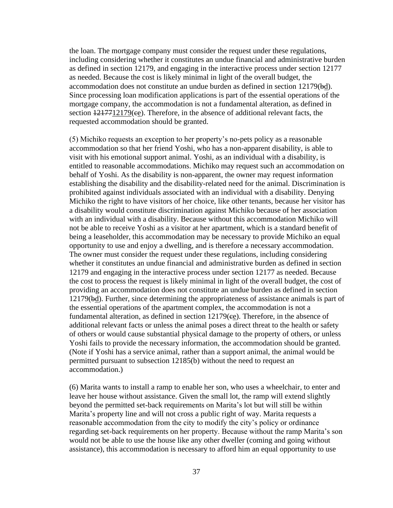the loan. The mortgage company must consider the request under these regulations, including considering whether it constitutes an undue financial and administrative burden as defined in section 12179, and engaging in the interactive process under section 12177 as needed. Because the cost is likely minimal in light of the overall budget, the accommodation does not constitute an undue burden as defined in section 12179(bd). Since processing loan modification applications is part of the essential operations of the mortgage company, the accommodation is not a fundamental alteration, as defined in section  $\frac{1217712179}{e^e}$ . Therefore, in the absence of additional relevant facts, the requested accommodation should be granted.

(5) Michiko requests an exception to her property's no-pets policy as a reasonable accommodation so that her friend Yoshi, who has a non-apparent disability, is able to visit with his emotional support animal. Yoshi, as an individual with a disability, is entitled to reasonable accommodations. Michiko may request such an accommodation on behalf of Yoshi. As the disability is non-apparent, the owner may request information establishing the disability and the disability-related need for the animal. Discrimination is prohibited against individuals associated with an individual with a disability. Denying Michiko the right to have visitors of her choice, like other tenants, because her visitor has a disability would constitute discrimination against Michiko because of her association with an individual with a disability. Because without this accommodation Michiko will not be able to receive Yoshi as a visitor at her apartment, which is a standard benefit of being a leaseholder, this accommodation may be necessary to provide Michiko an equal opportunity to use and enjoy a dwelling, and is therefore a necessary accommodation. The owner must consider the request under these regulations, including considering whether it constitutes an undue financial and administrative burden as defined in section 12179 and engaging in the interactive process under section 12177 as needed. Because the cost to process the request is likely minimal in light of the overall budget, the cost of providing an accommodation does not constitute an undue burden as defined in section 12179(bd). Further, since determining the appropriateness of assistance animals is part of the essential operations of the apartment complex, the accommodation is not a fundamental alteration, as defined in section 12179(ee). Therefore, in the absence of additional relevant facts or unless the animal poses a direct threat to the health or safety of others or would cause substantial physical damage to the property of others, or unless Yoshi fails to provide the necessary information, the accommodation should be granted. (Note if Yoshi has a service animal, rather than a support animal, the animal would be permitted pursuant to subsection 12185(b) without the need to request an accommodation.)

(6) Marita wants to install a ramp to enable her son, who uses a wheelchair, to enter and leave her house without assistance. Given the small lot, the ramp will extend slightly beyond the permitted set-back requirements on Marita's lot but will still be within Marita's property line and will not cross a public right of way. Marita requests a reasonable accommodation from the city to modify the city's policy or ordinance regarding set-back requirements on her property. Because without the ramp Marita's son would not be able to use the house like any other dweller (coming and going without assistance), this accommodation is necessary to afford him an equal opportunity to use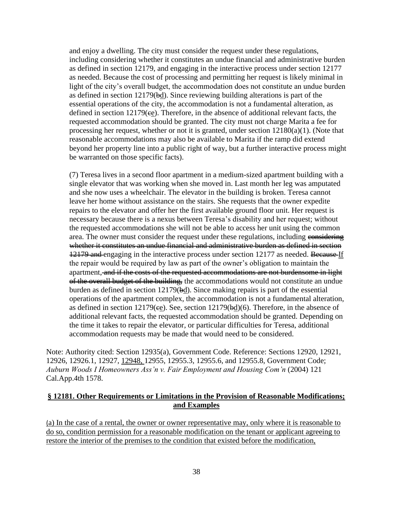and enjoy a dwelling. The city must consider the request under these regulations, including considering whether it constitutes an undue financial and administrative burden as defined in section 12179, and engaging in the interactive process under section 12177 as needed. Because the cost of processing and permitting her request is likely minimal in light of the city's overall budget, the accommodation does not constitute an undue burden as defined in section 12179(bd). Since reviewing building alterations is part of the essential operations of the city, the accommodation is not a fundamental alteration, as defined in section 12179(ee). Therefore, in the absence of additional relevant facts, the requested accommodation should be granted. The city must not charge Marita a fee for processing her request, whether or not it is granted, under section 12180(a)(1). (Note that reasonable accommodations may also be available to Marita if the ramp did extend beyond her property line into a public right of way, but a further interactive process might be warranted on those specific facts).

(7) Teresa lives in a second floor apartment in a medium-sized apartment building with a single elevator that was working when she moved in. Last month her leg was amputated and she now uses a wheelchair. The elevator in the building is broken. Teresa cannot leave her home without assistance on the stairs. She requests that the owner expedite repairs to the elevator and offer her the first available ground floor unit. Her request is necessary because there is a nexus between Teresa's disability and her request; without the requested accommodations she will not be able to access her unit using the common area. The owner must consider the request under these regulations, including considering whether it constitutes an undue financial and administrative burden as defined in section 12179 and engaging in the interactive process under section 12177 as needed. Because If the repair would be required by law as part of the owner's obligation to maintain the apartment, and if the costs of the requested accommodations are not burdensome in light of the overall budget of the building, the accommodations would not constitute an undue burden as defined in section 12179(bd). Since making repairs is part of the essential operations of the apartment complex, the accommodation is not a fundamental alteration, as defined in section  $12179$ (ee). See, section  $12179$ (bd)(6). Therefore, in the absence of additional relevant facts, the requested accommodation should be granted. Depending on the time it takes to repair the elevator, or particular difficulties for Teresa, additional accommodation requests may be made that would need to be considered.

Note: Authority cited: Section 12935(a), Government Code. Reference: Sections 12920, 12921, 12926, 12926.1, 12927, 12948, 12955, 12955.3, 12955.6, and 12955.8, Government Code; *Auburn Woods I Homeowners Ass'n v. Fair Employment and Housing Com'n* (2004) 121 Cal.App.4th 1578.

### **§ 12181. Other Requirements or Limitations in the Provision of Reasonable Modifications; and Examples**

(a) In the case of a rental, the owner or owner representative may, only where it is reasonable to do so, condition permission for a reasonable modification on the tenant or applicant agreeing to restore the interior of the premises to the condition that existed before the modification,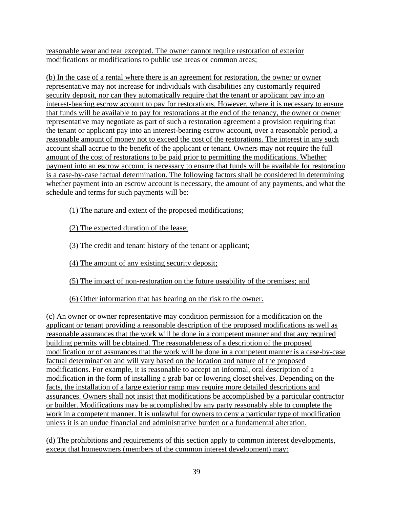reasonable wear and tear excepted. The owner cannot require restoration of exterior modifications or modifications to public use areas or common areas;

(b) In the case of a rental where there is an agreement for restoration, the owner or owner representative may not increase for individuals with disabilities any customarily required security deposit, nor can they automatically require that the tenant or applicant pay into an interest-bearing escrow account to pay for restorations. However, where it is necessary to ensure that funds will be available to pay for restorations at the end of the tenancy, the owner or owner representative may negotiate as part of such a restoration agreement a provision requiring that the tenant or applicant pay into an interest-bearing escrow account, over a reasonable period, a reasonable amount of money not to exceed the cost of the restorations. The interest in any such account shall accrue to the benefit of the applicant or tenant. Owners may not require the full amount of the cost of restorations to be paid prior to permitting the modifications. Whether payment into an escrow account is necessary to ensure that funds will be available for restoration is a case-by-case factual determination. The following factors shall be considered in determining whether payment into an escrow account is necessary, the amount of any payments, and what the schedule and terms for such payments will be:

(1) The nature and extent of the proposed modifications;

(2) The expected duration of the lease;

(3) The credit and tenant history of the tenant or applicant;

(4) The amount of any existing security deposit;

(5) The impact of non-restoration on the future useability of the premises; and

(6) Other information that has bearing on the risk to the owner.

(c) An owner or owner representative may condition permission for a modification on the applicant or tenant providing a reasonable description of the proposed modifications as well as reasonable assurances that the work will be done in a competent manner and that any required building permits will be obtained. The reasonableness of a description of the proposed modification or of assurances that the work will be done in a competent manner is a case-by-case factual determination and will vary based on the location and nature of the proposed modifications. For example, it is reasonable to accept an informal, oral description of a modification in the form of installing a grab bar or lowering closet shelves. Depending on the facts, the installation of a large exterior ramp may require more detailed descriptions and assurances. Owners shall not insist that modifications be accomplished by a particular contractor or builder. Modifications may be accomplished by any party reasonably able to complete the work in a competent manner. It is unlawful for owners to deny a particular type of modification unless it is an undue financial and administrative burden or a fundamental alteration.

(d) The prohibitions and requirements of this section apply to common interest developments, except that homeowners (members of the common interest development) may: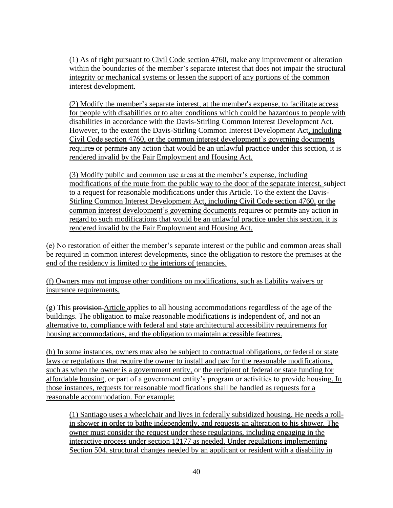(1) As of right pursuant to Civil Code section 4760, make any improvement or alteration within the boundaries of the member's separate interest that does not impair the structural integrity or mechanical systems or lessen the support of any portions of the common interest development.

(2) Modify the member's separate interest, at the member's expense, to facilitate access for people with disabilities or to alter conditions which could be hazardous to people with disabilities in accordance with the Davis-Stirling Common Interest Development Act. However, to the extent the Davis-Stirling Common Interest Development Act, including Civil Code section 4760, or the common interest development's governing documents requires or permits any action that would be an unlawful practice under this section, it is rendered invalid by the Fair Employment and Housing Act.

(3) Modify public and common use areas at the member's expense, including modifications of the route from the public way to the door of the separate interest, subject to a request for reasonable modifications under this Article. To the extent the Davis-Stirling Common Interest Development Act, including Civil Code section 4760, or the common interest development's governing documents requires or permits any action in regard to such modifications that would be an unlawful practice under this section, it is rendered invalid by the Fair Employment and Housing Act.

(e) No restoration of either the member's separate interest or the public and common areas shall be required in common interest developments, since the obligation to restore the premises at the end of the residency is limited to the interiors of tenancies.

(f) Owners may not impose other conditions on modifications, such as liability waivers or insurance requirements.

 $(g)$  This **provision** Article applies to all housing accommodations regardless of the age of the buildings. The obligation to make reasonable modifications is independent of, and not an alternative to, compliance with federal and state architectural accessibility requirements for housing accommodations, and the obligation to maintain accessible features.

(h) In some instances, owners may also be subject to contractual obligations, or federal or state laws or regulations that require the owner to install and pay for the reasonable modifications, such as when the owner is a government entity, or the recipient of federal or state funding for affordable housing, or part of a government entity's program or activities to provide housing. In those instances, requests for reasonable modifications shall be handled as requests for a reasonable accommodation. For example:

(1) Santiago uses a wheelchair and lives in federally subsidized housing. He needs a rollin shower in order to bathe independently, and requests an alteration to his shower. The owner must consider the request under these regulations, including engaging in the interactive process under section 12177 as needed. Under regulations implementing Section 504, structural changes needed by an applicant or resident with a disability in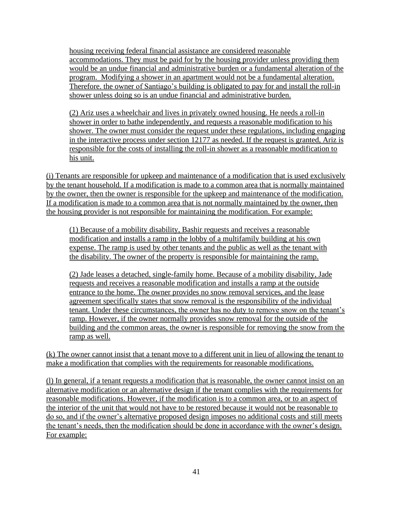housing receiving federal financial assistance are considered reasonable accommodations. They must be paid for by the housing provider unless providing them would be an undue financial and administrative burden or a fundamental alteration of the program. Modifying a shower in an apartment would not be a fundamental alteration. Therefore. the owner of Santiago's building is obligated to pay for and install the roll-in shower unless doing so is an undue financial and administrative burden.

(2) Ariz uses a wheelchair and lives in privately owned housing. He needs a roll-in shower in order to bathe independently, and requests a reasonable modification to his shower. The owner must consider the request under these regulations, including engaging in the interactive process under section 12177 as needed. If the request is granted, Ariz is responsible for the costs of installing the roll-in shower as a reasonable modification to his unit.

(i) Tenants are responsible for upkeep and maintenance of a modification that is used exclusively by the tenant household. If a modification is made to a common area that is normally maintained by the owner, then the owner is responsible for the upkeep and maintenance of the modification. If a modification is made to a common area that is not normally maintained by the owner, then the housing provider is not responsible for maintaining the modification. For example:

(1) Because of a mobility disability, Bashir requests and receives a reasonable modification and installs a ramp in the lobby of a multifamily building at his own expense. The ramp is used by other tenants and the public as well as the tenant with the disability. The owner of the property is responsible for maintaining the ramp.

(2) Jade leases a detached, single-family home. Because of a mobility disability, Jade requests and receives a reasonable modification and installs a ramp at the outside entrance to the home. The owner provides no snow removal services, and the lease agreement specifically states that snow removal is the responsibility of the individual tenant. Under these circumstances, the owner has no duty to remove snow on the tenant's ramp. However, if the owner normally provides snow removal for the outside of the building and the common areas, the owner is responsible for removing the snow from the ramp as well.

(k) The owner cannot insist that a tenant move to a different unit in lieu of allowing the tenant to make a modification that complies with the requirements for reasonable modifications.

(l) In general, if a tenant requests a modification that is reasonable, the owner cannot insist on an alternative modification or an alternative design if the tenant complies with the requirements for reasonable modifications. However, if the modification is to a common area, or to an aspect of the interior of the unit that would not have to be restored because it would not be reasonable to do so, and if the owner's alternative proposed design imposes no additional costs and still meets the tenant's needs, then the modification should be done in accordance with the owner's design. For example: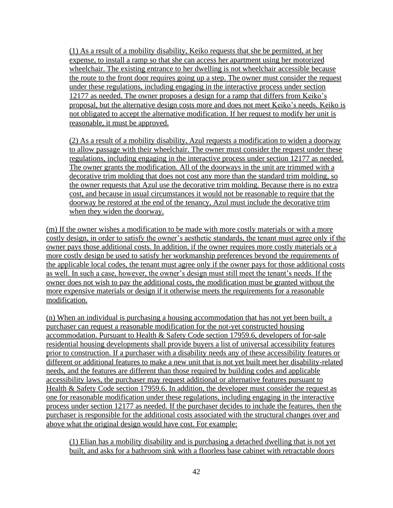(1) As a result of a mobility disability, Keiko requests that she be permitted, at her expense, to install a ramp so that she can access her apartment using her motorized wheelchair. The existing entrance to her dwelling is not wheelchair accessible because the route to the front door requires going up a step. The owner must consider the request under these regulations, including engaging in the interactive process under section 12177 as needed. The owner proposes a design for a ramp that differs from Keiko's proposal, but the alternative design costs more and does not meet Keiko's needs. Keiko is not obligated to accept the alternative modification. If her request to modify her unit is reasonable, it must be approved.

(2) As a result of a mobility disability, Azul requests a modification to widen a doorway to allow passage with their wheelchair. The owner must consider the request under these regulations, including engaging in the interactive process under section 12177 as needed. The owner grants the modification. All of the doorways in the unit are trimmed with a decorative trim molding that does not cost any more than the standard trim molding, so the owner requests that Azul use the decorative trim molding. Because there is no extra cost, and because in usual circumstances it would not be reasonable to require that the doorway be restored at the end of the tenancy, Azul must include the decorative trim when they widen the doorway.

(m) If the owner wishes a modification to be made with more costly materials or with a more costly design, in order to satisfy the owner's aesthetic standards, the tenant must agree only if the owner pays those additional costs. In addition, if the owner requires more costly materials or a more costly design be used to satisfy her workmanship preferences beyond the requirements of the applicable local codes, the tenant must agree only if the owner pays for those additional costs as well. In such a case, however, the owner's design must still meet the tenant's needs. If the owner does not wish to pay the additional costs, the modification must be granted without the more expensive materials or design if it otherwise meets the requirements for a reasonable modification.

(n) When an individual is purchasing a housing accommodation that has not yet been built, a purchaser can request a reasonable modification for the not-yet constructed housing accommodation. Pursuant to Health & Safety Code section 17959.6, developers of for-sale residential housing developments shall provide buyers a list of universal accessibility features prior to construction. If a purchaser with a disability needs any of these accessibility features or different or additional features to make a new unit that is not yet built meet her disability-related needs, and the features are different than those required by building codes and applicable accessibility laws, the purchaser may request additional or alternative features pursuant to Health & Safety Code section 17959.6. In addition, the developer must consider the request as one for reasonable modification under these regulations, including engaging in the interactive process under section 12177 as needed. If the purchaser decides to include the features, then the purchaser is responsible for the additional costs associated with the structural changes over and above what the original design would have cost. For example:

(1) Elian has a mobility disability and is purchasing a detached dwelling that is not yet built, and asks for a bathroom sink with a floorless base cabinet with retractable doors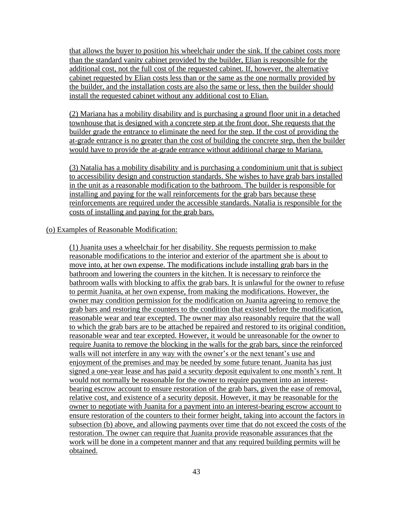that allows the buyer to position his wheelchair under the sink. If the cabinet costs more than the standard vanity cabinet provided by the builder, Elian is responsible for the additional cost, not the full cost of the requested cabinet. If, however, the alternative cabinet requested by Elian costs less than or the same as the one normally provided by the builder, and the installation costs are also the same or less, then the builder should install the requested cabinet without any additional cost to Elian.

(2) Mariana has a mobility disability and is purchasing a ground floor unit in a detached townhouse that is designed with a concrete step at the front door. She requests that the builder grade the entrance to eliminate the need for the step. If the cost of providing the at-grade entrance is no greater than the cost of building the concrete step, then the builder would have to provide the at-grade entrance without additional charge to Mariana.

(3) Natalia has a mobility disability and is purchasing a condominium unit that is subject to accessibility design and construction standards. She wishes to have grab bars installed in the unit as a reasonable modification to the bathroom. The builder is responsible for installing and paying for the wall reinforcements for the grab bars because these reinforcements are required under the accessible standards. Natalia is responsible for the costs of installing and paying for the grab bars.

### (o) Examples of Reasonable Modification:

(1) Juanita uses a wheelchair for her disability. She requests permission to make reasonable modifications to the interior and exterior of the apartment she is about to move into, at her own expense. The modifications include installing grab bars in the bathroom and lowering the counters in the kitchen. It is necessary to reinforce the bathroom walls with blocking to affix the grab bars. It is unlawful for the owner to refuse to permit Juanita, at her own expense, from making the modifications. However, the owner may condition permission for the modification on Juanita agreeing to remove the grab bars and restoring the counters to the condition that existed before the modification, reasonable wear and tear excepted. The owner may also reasonably require that the wall to which the grab bars are to be attached be repaired and restored to its original condition, reasonable wear and tear excepted. However, it would be unreasonable for the owner to require Juanita to remove the blocking in the walls for the grab bars, since the reinforced walls will not interfere in any way with the owner's or the next tenant's use and enjoyment of the premises and may be needed by some future tenant. Juanita has just signed a one-year lease and has paid a security deposit equivalent to one month's rent. It would not normally be reasonable for the owner to require payment into an interestbearing escrow account to ensure restoration of the grab bars, given the ease of removal, relative cost, and existence of a security deposit. However, it may be reasonable for the owner to negotiate with Juanita for a payment into an interest-bearing escrow account to ensure restoration of the counters to their former height, taking into account the factors in subsection (b) above, and allowing payments over time that do not exceed the costs of the restoration. The owner can require that Juanita provide reasonable assurances that the work will be done in a competent manner and that any required building permits will be obtained.